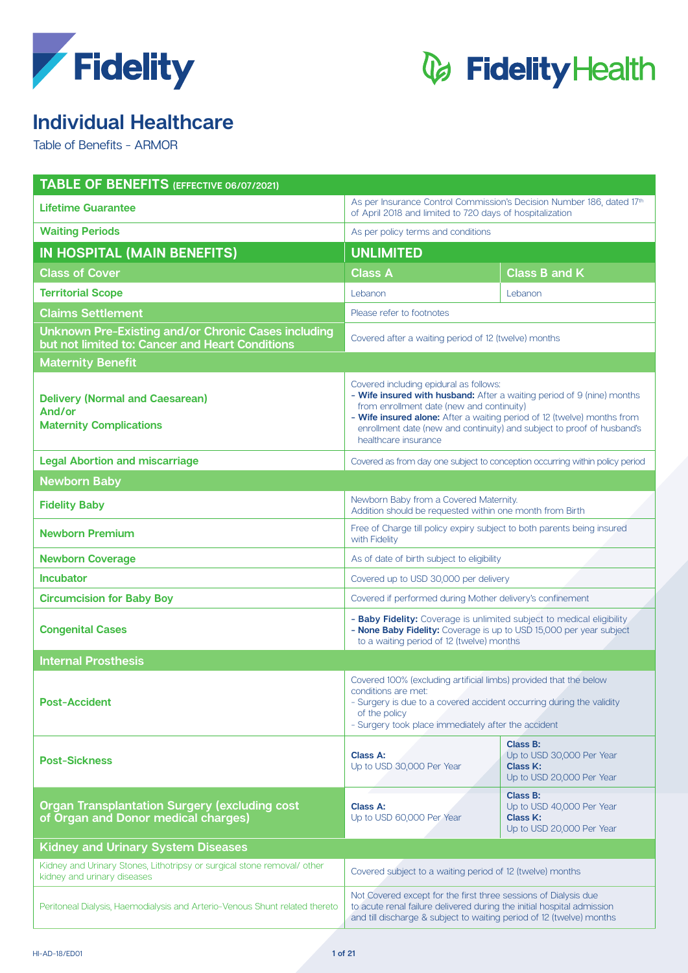



### **Individual Healthcare**

Table of Benefits - ARMOR

| TABLE OF BENEFITS (EFFECTIVE 06/07/2021)                                                                      |                                                                                                                                                                                                                                                                                                                                            |                                                                                |  |  |  |
|---------------------------------------------------------------------------------------------------------------|--------------------------------------------------------------------------------------------------------------------------------------------------------------------------------------------------------------------------------------------------------------------------------------------------------------------------------------------|--------------------------------------------------------------------------------|--|--|--|
| <b>Lifetime Guarantee</b>                                                                                     | As per Insurance Control Commission's Decision Number 186, dated 17th<br>of April 2018 and limited to 720 days of hospitalization                                                                                                                                                                                                          |                                                                                |  |  |  |
| <b>Waiting Periods</b>                                                                                        | As per policy terms and conditions                                                                                                                                                                                                                                                                                                         |                                                                                |  |  |  |
| <b>IN HOSPITAL (MAIN BENEFITS)</b>                                                                            | <b>UNLIMITED</b>                                                                                                                                                                                                                                                                                                                           |                                                                                |  |  |  |
| <b>Class of Cover</b>                                                                                         | <b>Class A</b>                                                                                                                                                                                                                                                                                                                             | <b>Class B and K</b>                                                           |  |  |  |
| <b>Territorial Scope</b>                                                                                      | Lebanon                                                                                                                                                                                                                                                                                                                                    | Lebanon                                                                        |  |  |  |
| <b>Claims Settlement</b>                                                                                      | Please refer to footnotes                                                                                                                                                                                                                                                                                                                  |                                                                                |  |  |  |
| <b>Unknown Pre-Existing and/or Chronic Cases including</b><br>but not limited to: Cancer and Heart Conditions | Covered after a waiting period of 12 (twelve) months                                                                                                                                                                                                                                                                                       |                                                                                |  |  |  |
| <b>Maternity Benefit</b>                                                                                      |                                                                                                                                                                                                                                                                                                                                            |                                                                                |  |  |  |
| <b>Delivery (Normal and Caesarean)</b><br>And/or<br><b>Maternity Complications</b>                            | Covered including epidural as follows:<br>- Wife insured with husband: After a waiting period of 9 (nine) months<br>from enrollment date (new and continuity)<br>- Wife insured alone: After a waiting period of 12 (twelve) months from<br>enrollment date (new and continuity) and subject to proof of husband's<br>healthcare insurance |                                                                                |  |  |  |
| <b>Legal Abortion and miscarriage</b>                                                                         | Covered as from day one subject to conception occurring within policy period                                                                                                                                                                                                                                                               |                                                                                |  |  |  |
| <b>Newborn Baby</b>                                                                                           |                                                                                                                                                                                                                                                                                                                                            |                                                                                |  |  |  |
| <b>Fidelity Baby</b>                                                                                          | Newborn Baby from a Covered Maternity.<br>Addition should be requested within one month from Birth                                                                                                                                                                                                                                         |                                                                                |  |  |  |
| <b>Newborn Premium</b>                                                                                        | Free of Charge till policy expiry subject to both parents being insured<br>with Fidelity                                                                                                                                                                                                                                                   |                                                                                |  |  |  |
| <b>Newborn Coverage</b>                                                                                       | As of date of birth subject to eligibility                                                                                                                                                                                                                                                                                                 |                                                                                |  |  |  |
| <b>Incubator</b>                                                                                              | Covered up to USD 30,000 per delivery                                                                                                                                                                                                                                                                                                      |                                                                                |  |  |  |
| <b>Circumcision for Baby Boy</b>                                                                              | Covered if performed during Mother delivery's confinement                                                                                                                                                                                                                                                                                  |                                                                                |  |  |  |
| <b>Congenital Cases</b>                                                                                       | - Baby Fidelity: Coverage is unlimited subject to medical eligibility<br>- None Baby Fidelity: Coverage is up to USD 15,000 per year subject<br>to a waiting period of 12 (twelve) months                                                                                                                                                  |                                                                                |  |  |  |
| <b>Internal Prosthesis</b>                                                                                    |                                                                                                                                                                                                                                                                                                                                            |                                                                                |  |  |  |
| <b>Post-Accident</b>                                                                                          | Covered 100% (excluding artificial limbs) provided that the below<br>conditions are met:<br>- Surgery is due to a covered accident occurring during the validity<br>of the policy<br>- Surgery took place immediately after the accident                                                                                                   |                                                                                |  |  |  |
| <b>Post-Sickness</b>                                                                                          | <b>Class A:</b><br>Up to USD 30,000 Per Year                                                                                                                                                                                                                                                                                               | Class B:<br>Up to USD 30,000 Per Year<br>Class K:<br>Up to USD 20,000 Per Year |  |  |  |
| <b>Organ Transplantation Surgery (excluding cost</b><br>of Organ and Donor medical charges)                   | Class A:<br>Up to USD 60,000 Per Year                                                                                                                                                                                                                                                                                                      | Class B:<br>Up to USD 40,000 Per Year<br>Class K:<br>Up to USD 20,000 Per Year |  |  |  |
| <b>Kidney and Urinary System Diseases</b>                                                                     |                                                                                                                                                                                                                                                                                                                                            |                                                                                |  |  |  |
| Kidney and Urinary Stones, Lithotripsy or surgical stone removal/ other<br>kidney and urinary diseases        | Covered subject to a waiting period of 12 (twelve) months                                                                                                                                                                                                                                                                                  |                                                                                |  |  |  |
| Peritoneal Dialysis, Haemodialysis and Arterio-Venous Shunt related thereto                                   | Not Covered except for the first three sessions of Dialysis due<br>to acute renal failure delivered during the initial hospital admission<br>and till discharge & subject to waiting period of 12 (twelve) months                                                                                                                          |                                                                                |  |  |  |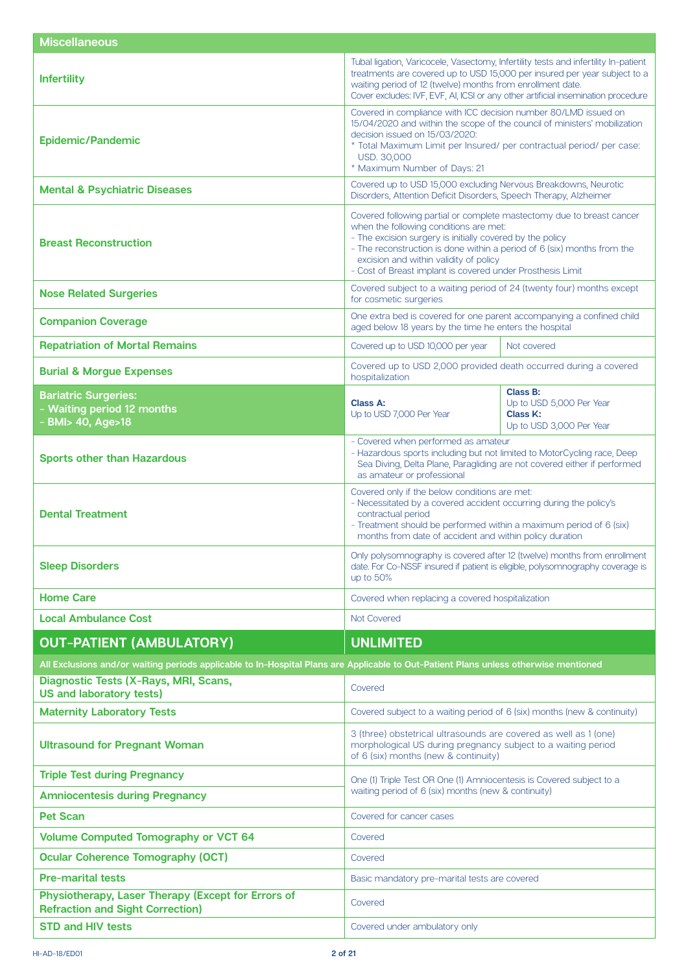| <b>Miscellaneous</b>                                                                                                                 |                                                                                                                                                                                                                                                                                                                                                                 |                                                                              |  |
|--------------------------------------------------------------------------------------------------------------------------------------|-----------------------------------------------------------------------------------------------------------------------------------------------------------------------------------------------------------------------------------------------------------------------------------------------------------------------------------------------------------------|------------------------------------------------------------------------------|--|
| <b>Infertility</b>                                                                                                                   | Tubal ligation, Varicocele, Vasectomy, Infertility tests and infertility In-patient<br>treatments are covered up to USD 15,000 per insured per year subject to a<br>waiting period of 12 (twelve) months from enrollment date.<br>Cover excludes: IVF, EVF, AI, ICSI or any other artificial insemination procedure                                             |                                                                              |  |
| <b>Epidemic/Pandemic</b>                                                                                                             | Covered in compliance with ICC decision number 80/LMD issued on<br>15/04/2020 and within the scope of the council of ministers' mobilization<br>decision issued on 15/03/2020:<br>* Total Maximum Limit per Insured/ per contractual period/ per case:<br>USD. 30,000<br>* Maximum Number of Days: 21                                                           |                                                                              |  |
| <b>Mental &amp; Psychiatric Diseases</b>                                                                                             | Covered up to USD 15,000 excluding Nervous Breakdowns, Neurotic<br>Disorders, Attention Deficit Disorders, Speech Therapy, Alzheimer                                                                                                                                                                                                                            |                                                                              |  |
| <b>Breast Reconstruction</b>                                                                                                         | Covered following partial or complete mastectomy due to breast cancer<br>when the following conditions are met:<br>- The excision surgery is initially covered by the policy<br>- The reconstruction is done within a period of 6 (six) months from the<br>excision and within validity of policy<br>- Cost of Breast implant is covered under Prosthesis Limit |                                                                              |  |
| <b>Nose Related Surgeries</b>                                                                                                        | Covered subject to a waiting period of 24 (twenty four) months except<br>for cosmetic surgeries                                                                                                                                                                                                                                                                 |                                                                              |  |
| <b>Companion Coverage</b>                                                                                                            | One extra bed is covered for one parent accompanying a confined child<br>aged below 18 years by the time he enters the hospital                                                                                                                                                                                                                                 |                                                                              |  |
| <b>Repatriation of Mortal Remains</b>                                                                                                | Covered up to USD 10,000 per year                                                                                                                                                                                                                                                                                                                               | Not covered                                                                  |  |
| <b>Burial &amp; Morgue Expenses</b>                                                                                                  | Covered up to USD 2,000 provided death occurred during a covered<br>hospitalization                                                                                                                                                                                                                                                                             |                                                                              |  |
| <b>Bariatric Surgeries:</b><br>- Waiting period 12 months<br>- BMI> 40, Age>18                                                       | Class A:<br>Up to USD 7,000 Per Year                                                                                                                                                                                                                                                                                                                            | Class B:<br>Up to USD 5,000 Per Year<br>Class K:<br>Up to USD 3,000 Per Year |  |
| <b>Sports other than Hazardous</b>                                                                                                   | - Covered when performed as amateur<br>- Hazardous sports including but not limited to MotorCycling race, Deep<br>Sea Diving, Delta Plane, Paragliding are not covered either if performed<br>as amateur or professional                                                                                                                                        |                                                                              |  |
| <b>Dental Treatment</b>                                                                                                              | Covered only if the below conditions are met:<br>- Necessitated by a covered accident occurring during the policy's<br>contractual period<br>- Treatment should be performed within a maximum period of 6 (six)<br>months from date of accident and within policy duration                                                                                      |                                                                              |  |
| <b>Sleep Disorders</b>                                                                                                               | Only polysomnography is covered after 12 (twelve) months from enrollment<br>date. For Co-NSSF insured if patient is eligible, polysomnography coverage is<br>up to $50\%$                                                                                                                                                                                       |                                                                              |  |
| <b>Home Care</b>                                                                                                                     | Covered when replacing a covered hospitalization                                                                                                                                                                                                                                                                                                                |                                                                              |  |
| <b>Local Ambulance Cost</b>                                                                                                          | Not Covered                                                                                                                                                                                                                                                                                                                                                     |                                                                              |  |
| <b>OUT-PATIENT (AMBULATORY)</b>                                                                                                      | <b>UNLIMITED</b>                                                                                                                                                                                                                                                                                                                                                |                                                                              |  |
| All Exclusions and/or waiting periods applicable to In-Hospital Plans are Applicable to Out-Patient Plans unless otherwise mentioned |                                                                                                                                                                                                                                                                                                                                                                 |                                                                              |  |
| Diagnostic Tests (X-Rays, MRI, Scans,<br><b>US and laboratory tests)</b>                                                             | Covered                                                                                                                                                                                                                                                                                                                                                         |                                                                              |  |
| <b>Maternity Laboratory Tests</b>                                                                                                    | Covered subject to a waiting period of 6 (six) months (new & continuity)                                                                                                                                                                                                                                                                                        |                                                                              |  |
| <b>Ultrasound for Pregnant Woman</b>                                                                                                 | 3 (three) obstetrical ultrasounds are covered as well as 1 (one)<br>morphological US during pregnancy subject to a waiting period<br>of 6 (six) months (new & continuity)                                                                                                                                                                                       |                                                                              |  |
| <b>Triple Test during Pregnancy</b>                                                                                                  | One (1) Triple Test OR One (1) Amniocentesis is Covered subject to a                                                                                                                                                                                                                                                                                            |                                                                              |  |
| <b>Amniocentesis during Pregnancy</b>                                                                                                | waiting period of 6 (six) months (new & continuity)                                                                                                                                                                                                                                                                                                             |                                                                              |  |
| <b>Pet Scan</b>                                                                                                                      | Covered for cancer cases                                                                                                                                                                                                                                                                                                                                        |                                                                              |  |
| <b>Volume Computed Tomography or VCT 64</b>                                                                                          | Covered                                                                                                                                                                                                                                                                                                                                                         |                                                                              |  |
| <b>Ocular Coherence Tomography (OCT)</b>                                                                                             | Covered                                                                                                                                                                                                                                                                                                                                                         |                                                                              |  |
| <b>Pre-marital tests</b>                                                                                                             | Basic mandatory pre-marital tests are covered                                                                                                                                                                                                                                                                                                                   |                                                                              |  |
| Physiotherapy, Laser Therapy (Except for Errors of<br><b>Refraction and Sight Correction)</b>                                        | Covered                                                                                                                                                                                                                                                                                                                                                         |                                                                              |  |
| <b>STD and HIV tests</b>                                                                                                             | Covered under ambulatory only                                                                                                                                                                                                                                                                                                                                   |                                                                              |  |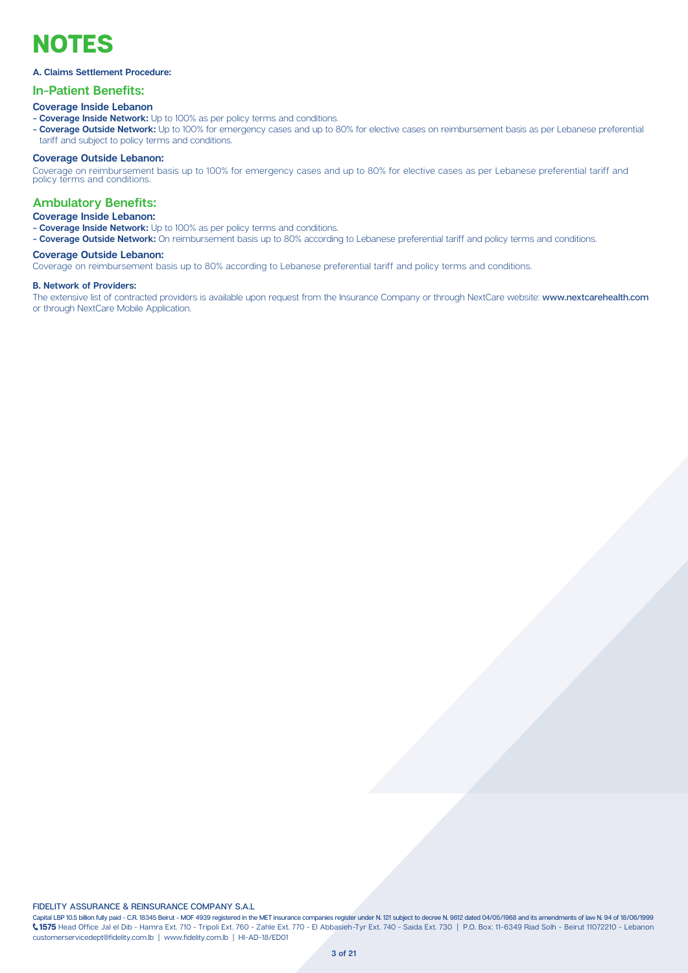## **NOTES**

### A. Claims Settlement Procedure:

### **In-Patient Benefits:**

### **Coverage Inside Lebanon**

- **Coverage Inside Network:** Up to 100% as per policy terms and conditions.
- Coverage Outside Network: Up to 100% for emergency cases and up to 80% for elective cases on reimbursement basis as per Lebanese preferential tariff and subject to policy terms and conditions.

### **Coverage Outside Lebanon:**

Coverage on reimbursement basis up to 100% for emergency cases and up to 80% for elective cases as per Lebanese preferential tariff and<br>policy terms and conditions.

### **Ambulatory Benefits:**

### **Coverage Inside Lebanon:**

- **Coverage Inside Network:** Up to 100% as per policy terms and conditions.

- Coverage Outside Network: On reimbursement basis up to 80% according to Lebanese preferential tariff and policy terms and conditions.

### **Coverage Outside Lebanon:**

Coverage on reimbursement basis up to 80% according to Lebanese preferential tariff and policy terms and conditions.

#### **B. Network of Providers:**

The extensive list of contracted providers is available upon request from the Insurance Company or through NextCare website: www.nextcarehealth.com or through NextCare Mobile Application.

### **FIDELITY ASSURANCE & REINSURANCE COMPANY S.A.L.**

Capital LBP 10.5 billion fully paid - C.R. 18345 Beirut - MOF 4939 registered in the MET insurance companies register under N. 121 subject to decree N. 9812 dated 04/05/1968 and its amendments of law N. 94 of 18/06/1999 1575 Head Office Jal el Dib - Hamra Ext. 710 - Tripoli Ext. 760 - Zahle Ext. 770 - El Abbasieh-Tyr Ext. 740 - Saida Ext. 730 | P.O. Box: 11-6349 Riad Solh - Beirut 11072210 - Lebanon customerservicedept@fidelity.com.lb | www.fidelity.com.lb | HI-AD-18/ED01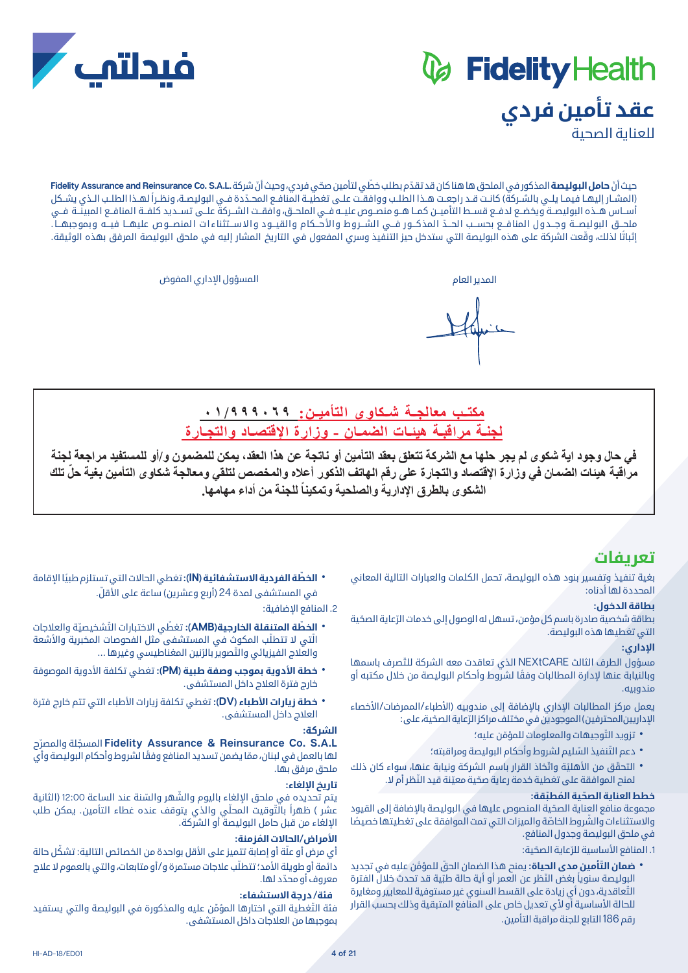# *&* Fidelity Health **عقد تأمين فردي**



حيث أنّ **حامل البوليصة** المذكور في الملحق ها هنا كان قد تقدّم بطلب خطّي لتأمين صحّي فردي، وحيث أنّ شركة .Fidelity Assurance and Reinsurance Co. S.A.L (المشـار إليهـا فيمـا يلــى بالشـركة) كانـت قــد راجعـت هــذا الطلــب ووافقــت علــى تغطيــة المنافـع المحــدّدة فــى البوليصــة، ونظـراً لهــذا الطلــب الـذي يشـكل أســاس هــذه البوليصــة ويخضـع لدفــع قســط التأميــن كمــا هــو منصــوص عليــه فــي الملحــق، وافقــت الشــركة علــى تســديد كلفــة المنافــع المبينــة فــي ملحــق البوليصــة وجــدول المنافــع بحســب الحــدّ المذكــور فــي الشـــروط والأحــكام والقيــود والاســتثناءات المنصــوص عليهــا فيـــه وبموجبهـــا . إثباتًا لذلك، وقّعت الشركة على هذه البوليصة التي ستدخل حيز التنفيذ وسري المفعول في التاريخ المشار إليه في ملحق البوليصة المرفق بهذه الوثيقة.

المدير العام المسؤول اإلداري المفوض

فبدلتف

**مكتــب معالجــة شــكاوى التأميــن: ٠١/٩٩٩٠٦٩ لجنـة مراقبـة هيئـات الضمـان - وزارة اإلقتصـاد والتجـارة**

**في حال وجود اية شكوى لم يجر حلها مع الشركة تتعلق بعقد التأمين أو ناتجة عن هذا العقد، يمكن للمضمون و/أو للمستفيد مراجعة لجنة ّ مراقبة هيئات الضمان في وزارة اإلقتصاد والتجارة على رقم الهاتف الذكور أعاله والمخصص لتلقي ومعالجة شكاوى التأمين بغية حل تلك**  الشكوى بالطرق الإدارية والصلحية وتمكيناً للجنة من أداع مهامها.<br>.

### **تعريفات**

بغية تنفيذ وتفسير بنود هذه البوليصة، تحمل الكلمات والعبارات التالية المعاني المحددة لها أدناه:

### **بطاقة الدخول:**

بطاقة شخصية صادرة باسم كل مؤمن، تسهل له الوصول إلى خدمات الرّعاية الصحّية التي تغطيها هذه البوليصة.

### **اإلداري:**

مسؤول الطرف الثالث NEXtCARE ّ الذي تعاقدت معه الشركة للتصرف باسمها ً وبالنيابة عنها إلدارة المطالبات وفقا لشروط وأحكام البوليصة من خالل مكتبه أو مندوبيه.

يعمل مركز المطالبات الاداري بالاضافة إلى مندوبيه (الأطباء/الممرضات/الأخصاء الإداريين المحترفين) الموجودين في مختلف مراكز الرّعاية الصحّية، على:

- 
- 
- تزويد التّوجيهات والمعلومات للمؤمّن عليه؛<br>• دعم التّنفيذ السّليم لشروط وأحكام البوليصة ومراقبته؛<br>• التحقّق من الأهليّة واتّخاذ القرار باسم الشركة ونيابة عنها، سواء كان ذلك<br>• لمنح الموافقة على تغطية خدمة رعاية صحّية معيّ

### **ّ خطط العناية الصح ُ ية الم ّطبقة:**

ّ مجموعة منافع العناية الصحية المنصوص عليها في البوليصة باإلضافة إلى القيود والاستثناءات والشَّروط الخاصّة والميزات التي تمت الموافقة على تغطيتها خصيصًا في ملحق البوليصة وجدول المنافع.

1. المنافع الأساسية للرَّعاية الصحّية:

- **\* ضمان التّأمين مدى الحياة:** يمنح هذا الضمان الحقّ للمؤمّن عليه في تجديد البوليصة سنوياً بغض النّظر عن العمر أو أية حالة طبّية قد تحدث خلال الفترة ّ التعاقدية، دون أي زيادة على القسط السنوي غير مستوفية للمعايير ومغايرة للحالة الأساسية أو لأي تعديل خاص على المنافع المتبقية وذلك بحسب القرار
	- رقم 186 التابع للجنة مراقبة التأمين.

• **الخطّة الفردية الاستشفائية (IN):** تغطي الحالات التي تستلزم طبيًا الإقامة<br>في المستشفى لمدة 24 (أربع وعشرين) ساعة على الأقلّ.

.2 المنافع اإلضافية:

- ّال ّ تي ال تتطلب المكوث في المستشفى مثل الفحوصات المخبرية واألشعة **ّ الخطة المتنقلة الخارجية)AMB):** ّ تغط ّ ي االختبارات الت ّ شخيصية والعالجات والعلاج الفيزيائي والتصوير بالرّنين المغناطيسي وغيرها ...
- **٬ خطة الأدوية بموجب وصفة طبية (PM):** تغطي تكلفة الأدوية الموصوفة<br>خارج فترة العلاج داخل المستشفى.
- **\* خطة زيارات الأطباء (DV):** تغطي تكلفة زيارات الأطباء التي تتم خارج فترة<br>العلاج داخل المستشفى.

### **الشركة:**

ّ ح **L.A.S .Co Reinsurance & Assurance Fidelity** ّ المسجلة والمصر لها بالعمل في لبنان، ممّا يضمن تسديد المنافع وفقًا لشروط وأحكام البوليصة وأي ملحق مرفق بها.

### **تاريخ اإللغاء:**

يتم تحديده في ملحق الإلغاء باليوم والشَّهر والسّنة عند الساعة 12:00 (الثانية عشر ) ظهراً بالتَّوقيت المحلّى والذي يتوقف عنده غطاء التأمين. يمكن طلب اإللغاء من قبل حامل البوليصة أو الشركة.

### **ُ األمراض/الحاالت المزمنة:**

أي مرض أو علّة أو إصابة تتميز على الأقل بواحدة من الخصائص التالية: تشكّل حالة دائمة أو طويلة الأمد؛ تتطلّب علاجات مستمرة و/أو متابعات، والتي بالعموم لا علاج ّ معروف أو محدد لها.

### **فئة/ درجة االستشفاء:**

فئة التّغطية التى اختارها المؤمّن عليه والمذكورة في البوليصة والتي يستفيد بموجبها من العالجات داخل المستشفى.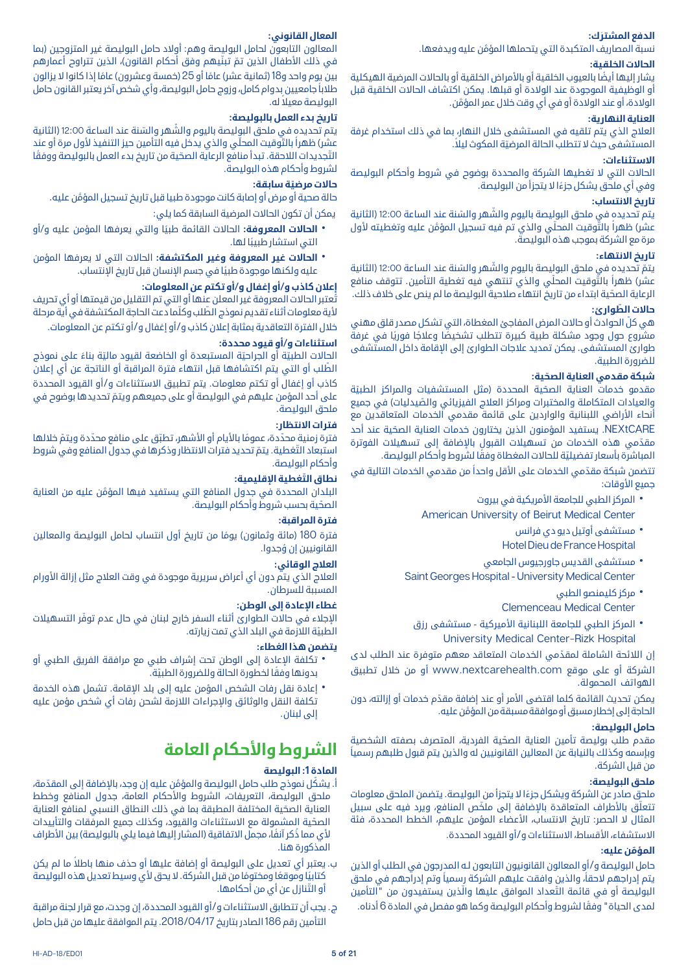### **َ الدفع المشترك:**

َّ نسبة المصاريف المتكبدة التي يتحملها المؤمن عليه ويدفعها.

### **الحاالت الخلقية:**

ً يشار إليها أيضا بالعيوب الخلقية أو باألمراض الخلقية أو بالحاالت المرضية الهيكلية أو الوظيفية الموجودة عند الوالدة أو قبلها. يمكن اكتشاف الحاالت الخلقية قبل َّ الوالدة، أو عند الوالدة أو في أي وقت خالل عمر المؤمن.

### **العناية النهارية:**

العالج الذي يتم تلقيه في المستشفى خالل النهار، بما في ذلك استخدام غرفة المستشفى حيث لا تتطلب الحالة المرضيّة المكوث ليلاً.

### **االستثناءات:**

الحالات التي لا تغطيها الشركة والمحددة بوضوح في شروط وأحكام البوليصة ً وفي أي ملحق يشكل جزءا ال يتجزأ من البوليصة.

### **تاريخ االنتساب:**

يتم تحديده في ملحق البوليصة باليوم والشَّهر والسّنة عند الساعة 12:00 (الثانية عشر) ظهراً بالتَّوقيت المحلّي والذى تم فيه تسجيل المؤمّن عليه وتغطيته لأول مرة مع الشركة بموجب هذه البوليصة.

### **تاريخ االنتهاء:**

يتمّ تحديده في ملحق البوليصة باليوم والشَّهر والسّنة عند الساعة 12:00 (الثانية عشر) ظهراً بالتَّوقيت المحلّي والذي تنتهي فيه تغطية التأمين. تتوقف منافع ّ الرعاية الصحية ابتداء من تاريخ انتهاء صالحية البوليصة ما لم ينص على خالف ذلك.

### **ّ حاالت الطوارئ:**

ّ هي كل الحوادث أو حاالت المرض المفاجئ المغطاة، التي تشكل مصدر قلق مهني مشروع حول وجود مشكلة طبية كبيرة تتطلب تشخيصًا وعلاجًا فوريًا في غرفةً طوارئ المستشفى. يمكن تمديد عالجات الطوارئ إلى اإلقامة داخل المستشفى للضرورة الطبية.

### **ّ شبكة مقدمي العناية الصحية:**

مقدمو خدمات العناية الصحّية المحددة (مثل المستشفيات والمراكز الطبيّة والعيادات المتكاملة والمختبرات ومراكز العلاج الفيزيائي والصّيدليات) في جميع أنحاء الأراضي اللبنانية والواردين على قائمة مقدمي الخدمات المتعاقدين مع NEXtCARE ّ . يستفيد المؤمنون الذين يختارون خدمات العناية الصحية عند أحد مقدّمي هذه الخدمات من تسهيلات القبول بالإضافة إلى تسهيلات الفوترة المباشرة بأسعار تفضيليّة للحالات المغطاة وفقًا لشروط وأحكام البوليصة.

تتضمن شبكة مقدّمي الخدمات على الأقل واحداً من مقدمي الخدمات التالية في جميع الأوقات:

- المركز الطبي للجامعة الأمريكية في بيروت<br>American University of Beirut Medical Center
	- مستشفى آوتيل ديو دي فرانس<br>Hotel Dieu de France Hospital
- مستشفى القديس جاورجيوس الجامعي<br>Saint Georges Hospital University Medical Center
	-
	- مركز كليمنصو الطبي<br>Clemenceau Medical Center
	- المركز الطبي للجامعة اللبنانية الأميركية مستشفى رزق<br>University Medical Center-Rizk Hospital

ّ إن الالئحة الشاملة لمقدمي الخدمات المتعاقد معهم متوفرة عند الطلب لدى الشركة أو على موقع com.nextcarehealth.www أو من خالل تطبيق الهواتف المحمولة.

يمكن تحديث القائمة كلما اقتضى الأمر أو عند إضافة مقدّم خدمات أو إزالته، دون َّ الحاجة إلى إخطار مسبق أو موافقة مسبقة من المؤمن عليه.

### **حامل البوليصة:**

ّ مقدم طلب بوليصة تأمين العناية الصحية الفردية، المتصرف بصفته الشخصية ً وبإسمه وكذلك بالنيابة عن المعالين القانونيين له والذين يتم قبول طلبهم رسميا من قبل الشركة.

### **ملحق البوليصة:**

ً ملحق صادر عن الشركة ويشكل جزءا ال يتجزأ من البوليصة. يتضمن الملحق معلومات تتعلّق بالأطراف المتعاقدة بالاضافة إلى ملخّص المنافع، ويرد فيه على سبيل المثال لا الحصر: تاريخ الانتساب، الأعضاء المؤمن عليهم، الخطط المحددة، فئة الاستشفاء، الأقساط، الاستثناءات و/أو القيود المحددة.

### **َّ المؤمن عليه:**

حامل البوليصة و/أو المعالون القانونيون التابعون لـه المدرجون في الطلب أو الذين يتم إدراجهم لاحقاً، والذين وافقت عليهم الشركة رسمياً وتم إدراجهم في ملحق البوليصة أو في قائمة التّعداد الموافق عليها والَّذين يستفيدون من "التأمين ً لمدى الحياة" وفقا لشروط وأحكام البوليصة وكما هو مفصل في المادة 6 أدناه.

### **المعال القانوني:**

المعالون التابعون لحامل البوليصة وهم: أوالد حامل البوليصة غير المتزوجين )بما في ذلك الأطفال الذين تمّ تبنّيهم وفق أحكام القانون)، الذين تتراوح أعمارهم بين يوم واحد و18 (ثمانية عشر) عامًا أو 25 (خمسة وعشرون) عامًا إذا كانوا لا يزالون ً طالبا جامعيين بدوام كامل، وزوج حامل البوليصة، وأي شخص آخر يعتبر القانون حامل ً البوليصة معيال له.

### **تاريخ بدء العمل بالبوليصة:**

يتم تحديده في ملحق البوليصة باليوم والشَّهر والسّنة عند الساعة 12:00 (الثانية عشر) ظهراً بالتَّوقيت المحلّى والذي يدخل فيه التأمين حيز التنفيذ لأول مرة أو عند التَّجديدات اللاحقة. تبدأ منافع الرعاية الصحّية من تاريخ بدء العمل بالبوليصة ووفقًا لشروط وأحكام هذه البوليصة.

### **ّ حاالت مرضية سابقة:**

َّ حالة صحية أو مرض أو إصابة كانت موجودة طبيا قبل تاريخ تسجيل المؤمن عليه. يمكن أن تكون الحاالت المرضية السابقة كما يلي:

- ً **الحالات المعروفة:** الحالات القائمة طبيًا والتي يعرفها المؤمن عليه و/أو<br>التي استشار طبيبًا لها.
- **ٔ الحالات غير المعروفة وغير المكتشفة:** الحالات التي لا يعرفها المؤمن<br> عليه ولكنها موجودة طبيًا في جسم الإنسان قبل تاريخ الإنتساب.

### **إعالن كاذب و/أو إغفال و/أو تكتم عن المعلومات:**

ُتعتبر الحاالت المعروفة غير المعلن عنها أو التي تم التقليل من قيمتها أو أي تحريف لأية معلومات أثناء تقديم نموذج الطّلب وكلّما دعت الحاجة المكتشفة في أيّة مرحلة خالل الفترة التعاقدية بمثابة إعالن كاذب و/أو إغفال و/أو تكتم عن المعلومات.

### **استثناءات و/أو قيود محددة:**

الحالات الطبيّة أو الجراحيّة المستبعدة أو الخاضعة لقيود ماليّة بناءً على نموذج ّ الطلب أو التي يتم اكتشافها قبل انتهاء فترة المراقبة أو الناتجة عن أي إعالن كاذب أو إغفال أو تكتم معلومات. يتم تطبيق االستثناءات و/أو القيود المحددة ّ على أحد المؤمن عليهم في البوليصة أو على جميعهم ويتم تحديدها بوضوح في ملحق البوليصة.

### **فترات االنتظار:**

فترة زمنية محدّدة، عمومًا بالأيام أو الأشهر، تطبّق على منافع محدّدة ويتمّ خلالها استبعاد التّغطية. يتمّ تحديد فترات الانتظار وذكرها في جدول المنافع وفي شروط وأحكام البوليصة.

### **ّ نطاق التغطية اإلقليمية:**

َّ البلدان المحددة في جدول المنافع التي يستفيد فيها المؤمن عليه من العناية ّ الصحية بحسب شروط وأحكام البوليصة.

### **فترة المراقبة:**

فترة 180 (مائة وثمانون) يومًا من تاريخ أول انتساب لحامل البوليصة والمعالين ُ القانونيين إن وجدوا.

### **العالج الوقائي:**

العلاج الذي يتم دون أي أعراض سريرية موجودة في وقت العلاج مثل إزالة الأورام المسببة للسرطان.

### **غطاء اإلعادة إلى الوطن:**

ّ اإلجالء في حاالت الطوارئ أثناء السفر خارج لبنان في حال عدم توفر التسهيالت ّ الطبية الالزمة في البلد الذي تمت زيارته.

### **يتضمن هذا الغطاء:**

- تكلفة الإعادة إلى الوطن تحت إشراف طبي مع مرافقة الفريق الطبي أو<br>بدونها وفقًا لخطورة الحالة وللضرورة الطبيّة.
- إعادة نقل رفات الشخص المؤمن عليه إلى بلد الإقامة. تشمل هذه الخدمة<br> تكلفة النقل والوثائق والإجراءات اللازمة لشحن رفات أي شخص مؤمن عليه إلى لبنان.

### **الشروط واألحكام العامة**

### **المادة :1 البوليصة**

- أ. يشكّل نموذج طلب حامل البوليصة والمؤمّن عليه إن وجد، بالإضافة إلى المقدّمة، ملحق البوليصة، التعريفات، الشروط واألحكام العامة، جدول المنافع وخطط ّ العناية الصحية المختلفة المطبقة بما في ذلك النطاق النسبي لمنافع العناية ّ الصحية المشمولة مع االستثناءات والقيود، وكذلك جميع المرفقات والتأييدات لأي مما ذُكر آنفًا، مجمل الاتفاقية (المشار إليها فيما يلي بالبوليصة) بين الأطراف المذكورة هنا.
- ب. يعتبر أي تعديل على البوليصة أو إضافة عليها أو حذف منها باطلاً ما لم يكن كتابيًا وموقعًا ومختومًا من قبل الشركة. لا يحق لأي وسيط تعديل هذه البوليصة ّ أو التنازل عن أي من أحكامها.
- ج. يجب أن تتطابق االستثناءات و/أو القيود المحددة، إن وجدت، مع قرار لجنة مراقبة التأمين رقم 186 الصادر بتاريخ .2018/04/17 يتم الموافقة عليها من قبل حامل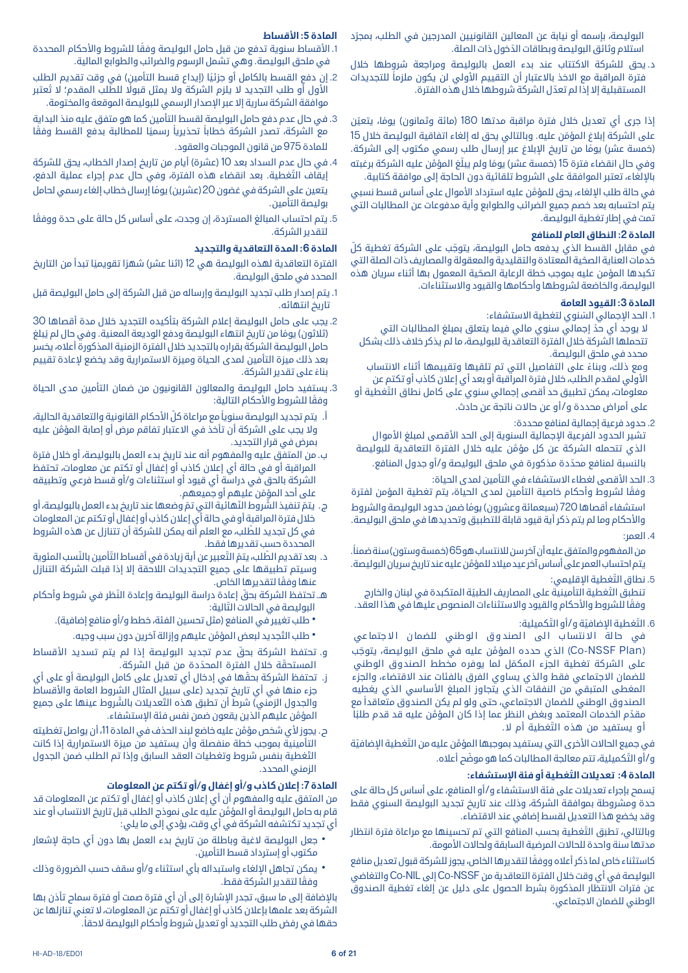البوليصة، بإسمه او نيابة عن المعالين القانونيين المدرجين في الطلب، بمجرّد ّ استالم وثائق البوليصة وبطاقات الدخول ذات الصلة.

د. يحق للشركة االكتتاب عند بدء العمل بالبوليصة ومراجعة شروطها خالل فترة المراقبة مع الاخذ بالاعتبار أن التقييم الأولى لن يكون ملزماً للتجديدات ّ المستقبلية إال إذا لم تعدل الشركة شروطها خالل هذه الفترة.

إذا جرى أي تعديل خلال فترة مراقبة مدتها 180 (مائة وثمانون) يومًا، يتعيّن على الشركة إبلاغ المؤمّن عليه. وبالتالي يحق له إلغاء اتفاقية البوليصة خلال 15 (خمسة عشر) يومًا من تاريخ الإبلاغ عبر إرسال طلب رسمي مكتوب إلى الشركة. وفي حال انقضاء فترة 15 (خمسة عشر) يومًا ولم يبلّغ المؤمّن عليه الشركة برغبته باإللغاء، تعتبر الموافقة على الشروط تلقائية دون الحاجة إلى موافقة كتابية.

َّ في حالة طلب اإللغاء، يحق للمؤمن عليه استرداد األموال على أساس قسط نسبي يتم احتسابه بعد خصم جميع الضرائب والطوابع وأية مدفوعات عن المطالبات التي تمت في إطار تغطية البوليصة.

### **المادة :2 النطاق العام للمنافع**

في مقابل القسط الذي يدفعه حامل البوليصة، يتوجّب على الشركة تغطية كلّ ّ خدمات العناية الصحية المعتادة والتقليدية والمعقولة والمصاريف ذات الصلة التي ّ تكبدها المؤمن عليه بموجب خطة الرعاية الصحية المعمول بها أثناء سريان هذه البوليصة، والخاضعة لشروطها وأحكامها والقيود واالستثناءات.

### **المادة :3 القيود العامة**

1. الحد الإجمالي السّنوي لتغطية الاستشفاء:

لا يوجد أي حدّ إجمالي سنوي مالي فيما يتعلق بمبلغ المطالبات التي تتحملها الشركة خالل الفترة التعاقدية للبوليصة، ما لم يذكر خالف ذلك بشكل محدد في ملحق البوليصة.

ً ومع ذلك، وبناء على التفاصيل التي تم تلقيها وتقييمها أثناء االنتساب األولي لمقدم الطلب، خالل فترة المراقبة أو بعد أي إعالن كاذب أو تكتم عن ّ معلومات، يمكن تطبيق حد أقصى إجمالي سنوي على كامل نطاق التغطية أو على أمراض محددة و/أو عن حاالت ناتجة عن حادث.

.2 حدود فرعية إجمالية لمنافع محددة:

تشير الحدود الفرعية الإجمالية السنوية إلى الحد الأقصى لمبلغ الأموال َّ الذي تتحمله الشركة عن كل مؤمن عليه خالل الفترة التعاقدية للبوليصة ّ بالنسبة لمنافع محددة مذكورة في ملحق البوليصة و/أو جدول المنافع.

3. الحد الأقصى لغطاء الاستشفاء في التأمين لمدى الحياة:

ً وفقا لشروط وأحكام خاصية التأمين لمدى الحياة، يتم تغطية المؤمن لفترة استشفاء أقصاها 720 (سبعمائة وعشرون) يومًا ضمن حدود البوليصة والشروط واألحكام وما لم يتم ذكر أية قيود قابلة للتطبيق وتحديدها في ملحق البوليصة.

.4 العمر:

من المفهوم والمتفق عليه أن آخر سن للانتساب هو 65 (خمسة وستون) سنة ضمناً. َّ يتم احتساب العمر على أساس آخر عيد ميالد للمؤمن عليه عند تاريخ سريان البوليصة.

5. نطاق التّغطية الإقليمي:

تنطبق التَّغطية التأمينية على المصاريف الطبيّة المتكبدة في لبنان والخارج وفقًا للشروط والأحكام والقيود والاستثناءات المنصوص عليها في هذا العقد.

6. التّغطية الإضافيّة و/أو التّكميلية:

في حالة الانتساب الى الصندوق الوطني للضمان الاجتماعي (Co-NSSF Plan) الذي حدده المؤمَّن عليه في ملحق البوليصة، يتوجّب ّ على الشركة تغطية الجزء المكمل لما يوفره مخطط الصندوق الوطني للضمان االجتماعي فقط والذي يساوي الفرق بالفئات عند االقتضاء، والجزء المغطى المتبقي من النفقات الذي يتجاوز المبلغ األساسي الذي يغطيه ً الصندوق الوطني للضمان االجتماعي، حتى ولو لم يكن الصندوق متعاقدا مع مقدّم الخدمات المعتمد وبغض النظر عما إذا كان المؤمّن عليه قد قدم طلبًا ّ أ و يستفيد من هذه التغطية أم ال.

في جميع الحالات الأخرى التي يستفيد بموجبها المؤمَّن عليه من التَّغطية الإضافيّة و/أو التَّكميلية، تتم معالجة المطالبات كما هو موضّح أعلاه.

### **المادة 4 ّ : تعديالت التغطية أو فئة اإلستشفاء:**

ُيسمح بإجراء تعديالت على فئة االستشفاء و/أو المنافع، على أساس كل حالة على حدة ومشروطة بموافقة الشركة، وذلك عند تاريخ تجديد البوليصة السنوي فقط وقد يخضع هذا التعديل لقسط إضافي عند االقتضاء.

وبالتالي، تطبَق التّغطية بحسب المنافع التي تم تحسينها مع مراعاة فترة انتظار مدتها سنة واحدة للحالات المرضية السابقة ولحالات الأمومة.

ً كاستثناء خاص لما ذكر أعاله ووفقا لتقديرها الخاص، يجوز للشركة قبول تعديل منافع البوليصة في أي وقت خالل الفترة التعاقدية من NSSF-Co إلى NIL-Co والتغاضي عن فترات االنتظار المذكورة بشرط الحصول على دليل عن إلغاء تغطية الصندوق الوطني للضمان االجتماعي.

### **المادة :5 األقساط**

1. الأقساط سنوية تدفع من قبل حامل البوليصة وفقًا للشروط والأحكام المحددة في ملحق البوليصة. وهي تشمل الرسوم والضرائب والطوابع المالية.

- 2. إن دفع القسط بالكامل أو جزئيًا (إيداع قسط التأمين) في وقت تقديم الطلب األول أو طلب التجديد ال يلزم الشركة وال يمثل قبوًل ُ للطلب المقدم؛ ال تعتبر موافقة الشركة سارية إلا عبر الإصدار الرسمي للبوليصة الموقعة والمختومة.
- .3 في حال عدم دفع حامل البوليصة لقسط التأمين كما هو متفق عليه منذ البداية مع الشركة، تصدر الشركة خطاباً تحذيرياً رسميًا للمطالبة بدفع القسط وفقًا للمادة 975 من قانون الموجبات والعقود.
- 4. في حال عدم السداد بعد 10 (عشرة) أيام من تاريخ إصدار الخطاب، يحق للشركة ّ إيقاف التغطية. بعد انقضاء هذه الفترة، وفي حال عدم إجراء عملية الدفع، يتعين على الشركة في غضون 20 (عشرين) يومًا إرسال خطاب إلغاء رسمي لحامل بوليصة التأمين.
- 5. يتم احتساب المبالغ المستردة، إن وجدت، على أساس كل حالة على حدة ووفقًا لتقدير الشركة.

### **المادة :6 المدة التعاقدية والتجديد**

الفترة التعاقدية لهذه البوليصة هي 12 (اثنا عشر) شهرًا تقويميًا تبدأ من التاريخ المحدد في ملحق البوليصة.

- .1 يتم إصدار طلب تجديد البوليصة وإرساله من قبل الشركة إلى حامل البوليصة قبل تاريخ انتهائه.
- .2 يجب على حامل البوليصة إعالم الشركة بتأكيده التجديد خالل مدة أقصاها 30 (ثلاثون) يومًا من تاريخ انتهاء البوليصة ودفع الوديعة المعنية. وفي حال لم يُبلغ حامل البوليصة الشركة بقراره بالتجديد خالل الفترة الزمنية المذكورة أعاله، يخسر بعد ذلك ميزة التأمين لمدى الحياة وميزة االستمرارية وقد يخضع إلعادة تقييم ً بناء على تقدير الشركة.
- .3 يستفيد حامل البوليصة والمعالون القانونيون من ضمان التأمين مدى الحياة وفقًا للشروط والأحكام التالية:
- أ. يتم تجديد البوليصة سنوياً مع مراعاة كلّ الأحكام القانونية والتعاقدية الحالية، َّ وال يجب على الشركة أن تأخذ في االعتبار تفاقم مرض أو إصابة المؤمن عليه بمرض في قرار التجديد.
- ب. من المتفق عليه والمفهوم أنه عند تاريخ بدء العمل بالبوليصة، أو خالل فترة المراقبة أو في حالة أي إعالن كاذب أو إغفال أو تكتم عن معلومات، تحتفظ الشركة بالحق في دراسة أي قيود أو استثناءات و/أو قسط فرعي وتطبيقه على أحد المؤمّن عليهم أو جميعهم.
- ج. يتمّ تنفيذ الشّروط النّهائية التي تمّ وضعها عند تاريخ بدء العمل بالبوليصة، أو خالل فترة المراقبة أو في حالة أي إعالن كاذب أو إغفال أو تكتم عن المعلومات ّ في كل تجديد للطلب، مع العلم أنه يمكن للشركة أن تتنازل عن هذه الشروط المحددة حسب تقديرها فقط.
- د. بعد تقديم الطّلب، يتمّ التّعبير عن أية زيادة في أقساط التّأمين بالنّسب المئوية وسيتم تطبيقها على جميع التجديدات الالحقة إال إذا قبلت الشركة التنازل ً عنها وفقا لتقديرها الخاص.
- هـ. ّ تحتفظ الشركة بحق ّ إعادة دراسة البوليصة وإعادة النظر في شروط وأحكام البوليصة في الحالات التّالية:
	- طلب تغيير في المنافع (مثل تحسين الفئة، خطط و/أو منافع إضافية).
		- طلب التَّجديد لبعض المؤمَّن عليهم وإزالة آخرين دون سبب وجيه.
- و. تحتفظ الشركة بحقّ عدم تجديد البوليصة إذا لم يتم تسديد الأقساط المستحقّة خلال الفترة المحدّدة من قبل الشركة.
- ز. ّ تحتفظ الشركة بحقها في إدخال أي تعديل على كامل البوليصة أو على أي جزء منها في أي تاريخ تجديد (على سبيل المثال الشروط العامة والأقساط والجدول الزمني) شرط أن تطبق هذه التّعديلات بالشَّروط عينها على جميع َّ المؤمن عليهم الذين يقعون ضمن نفس فئة اإلستشفاء.
- ح. يجوز لأي شخص مؤمَّن عليه خاضع لبند الحذف في المادة 11، أن يواصل تغطيته التأمينية بموجب خطة منفصلة وأن يستفيد من ميزة االستمرارية إذا كانت ّ التغطية بنفس شروط وتغطيات العقد السابق وإذا تم الطلب ضمن الجدول الزمني المحدد.

### **المادة :7 إعالن كاذب و/أو إغفال و/أو تكتم عن المعلومات**

من المتفق عليه والمفهوم أن أي إعالن كاذب أو إغفال أو تكتم عن المعلومات قد َّ قام به حامل البوليصة أو المؤمن عليه على نموذج الطلب قبل تاريخ االنتساب أو عند أي تجديد تكتشفه الشركة في أي وقت، يؤدي إلى ما يلي:

- جعل البوليصة لاغية وباطلة من تاريخ بدء العمل بها دون أي حاجة لإشعار<br> مكتوب أو إسترداد قسط التأمين.
- يمكن تجاهل الإلغاء واستبداله بأي استثناء و/أو سقف حسب الضرورة وذلك<br>ومقًا لتقدير الشركة فقط.

باإلضافة إلى ما سبق، تجدر اإلشارة إلى أن أي فترة صمت أو فترة سماح تأذن بها الشركة بعد علمها بإعالن كاذب أو إغفال أو تكتم عن المعلومات، ال تعني تنازلها عن ً حقها في رفض طلب التجديد أو تعديل شروط وأحكام البوليصة الحقا.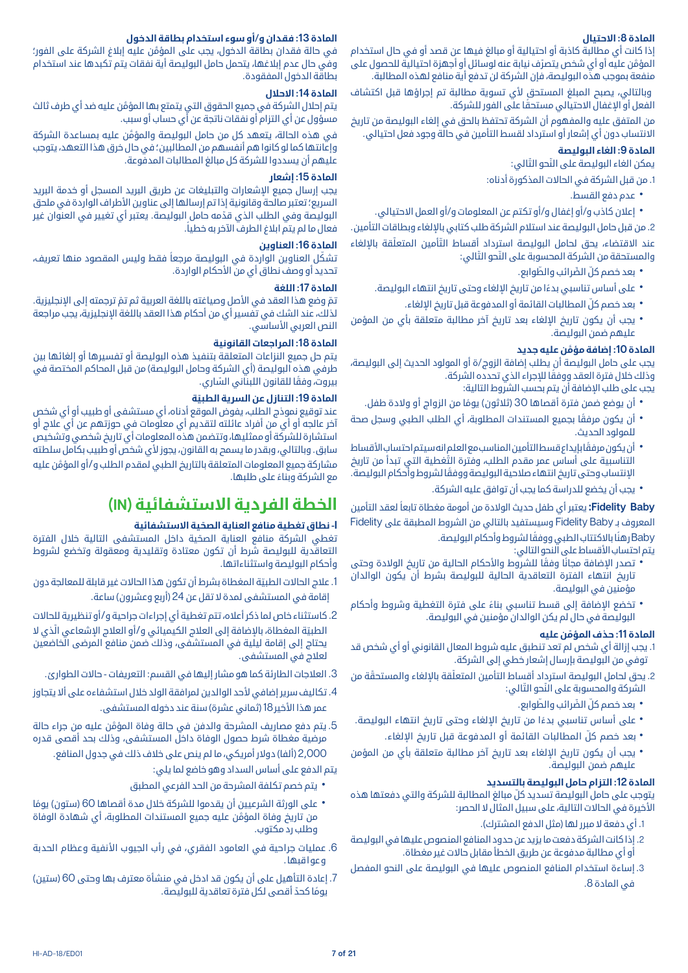### **المادة :8 االحتيال**

إذا كانت أي مطالبة كاذبة أو احتيالية أو مبالغ فيها عن قصد أو في حال استخدام المؤمّن عليه او اي شخص يتصرّف نيابة عنه لوسائل او اجهزة احتيالية للحصول على منفعة بموجب هذه البوليصة، فإن الشركة لن تدفع أية منافع لهذه المطالبة.

وبالتالي، يصبح المبلغ المستحق لأي تسوية مطالبة تم إجراؤها قبل اكتشاف ً الفعل أو اإلغفال االحتيالي مستحقا على الفور للشركة.

من المتفق عليه والمفهوم أن الشركة تحتفظ بالحق في إلغاء البوليصة من تاريخ االنتساب دون أي إشعار أو استرداد لقسط التأمين في حالة وجود فعل احتيالي.

### **المادة :9 الغاء البوليصة**

يمكن الغاء البوليصة على النّحو التّالي:

.1 من قبل الشركة في الحاالت المذكورة أدناه:

- 
- \* عدم دفع القسط.<br>\* إعلان كاذب و/أو إغفال و/أو تكتم عن المعلومات و/أو العمل الاحتيالي.<br>2. من قبل حامل البوليصة عند استلام الشركة طلب كتابي بالإلغاء وبطاقات التأمين.

عند الاقتضاء، يحق لحامل البوليصة استرداد أقساط التّأمين المتعلّقة بالإلغاء والمستحقة من الشركة المحسوبة على النّحو التّالي:

- 
- -
- بعد خصم كلّ الضّرائب والطّوابع.<br>• على أساس تناسبي بدءًا من تاريخ الإلغاء وحتى تاريخ انتهاء البوليصة.<br>• بعد خصم كلّ المطالبات القائمة أو المدفوعة قبل تاريخ الإلغاء.<br>• يجب أن يكون تاريخ الإلغاء بعد تاريخ آخر مطالبة متعلقة

### **المادة 10 َّ : إضافة مؤمن عليه جديد**

يجب على حامل البوليصة أن يطلب إضافة الزوج/ة أو المولود الحديث إلى البوليصة، وذلك خلال فترة العقد ووفقًا للإجراء الذي تحدده الشركة.

يجب على طلب اإلضافة أن يتم بحسب الشروط التالية:

- 
- أن يوضع ضمن فترة أقصاها 30 (ثلاثون) يومًا من الزواج أو ولادة طفل.<br>• أن يكون مرفقًا بجميع المستندات المطلوبة، أي الطلب الطبي وسجل صحة<br>للمولود الحديث.
- أن يكون مرفقًا بإيداع قسط التأمين المناسب مع العلم انهسيتم احتساب الأقساط<br>التناسبية على أساس عمر مقدم الطلب، وفترة التّغطية التي تبدأ من تاريخ ً اإلنتساب وحتى تاريخ انتهاء صالحية البوليصة ووفقا لشروط وأحكام البوليصة.
	- يجب أن يخضع للدراسة كما يجب أن توافق عليه الشركة.

**Baby Fidelity:** ً يعتبر أي طفل حديث الوالدة من أمومة مغطاة تابعا لعقد التأمين المعروف بـ Baby Fidelity وسيستفيد بالتالي من الشروط المطبقة على Fidelity Baby ً رهن ً ا باالكتتاب الطبي ووفقا لشروط وأحكام البوليصة.

يتم احتساب الأقساط على النحو التالي:

- تصدر الإضافة مجانًا وفقًا للشروط والأحكام الحالية من تاريخ الولادة وحتى<br> تاريخ انتهاء الفترة التعاقدية الحالية للبوليصة بشرط أن يكون الوالدان مؤمنين في البوليصة.
- تخضع الإضافة إلى قسط تناسبي بناءً على فترة التغطية وشروط وأحكام<br> البوليصة في حال لم يكن الوالدان مؤمنين في البوليصة.

#### **المادة 11 ّ : حذف المؤمن عليه**

- .1 يجب إزالة أي شخص لم تعد تنطبق عليه شروط المعال القانوني أو أي شخص قد توفي من البوليصة بإرسال إشعار خطي إلى الشركة.
- 2. يحق لحامل البوليصة استرداد أقساط التأمين المتعلّقة بالإلغاء والمستحقّة من الشركة والمحسوبة على النَّحو التَّالي:
	-
- -
- بعد خصم كلّ الضّرائب والطّوابع.<br>• على أساس تناسبي بدءًا من تاريخ الإلغاء وحتى تاريخ انتهاء البوليصة.<br>• بعد خصم كلّ المطالبات القائمة أو المدفوعة قبل تاريخ الإلغاء.<br>• يجب أن يكون تاريخ الإلغاء بعد تاريخ آخر مطالبة متعلقة

### **المادة :12 التزام حامل البوليصة بالتسديد**

ّ يتوجب على حامل البوليصة تسديد كل مبالغ المطالبة للشركة والتي دفعتها هذه الأخيرة في الحالات التالية، على سبيل المثال لا الحصر:

- 1. أي دفعة لا مبرر لها (مثل الدفع المشترك).
- .2 إذا كانت الشركة دفعت ما يزيد عن حدود المنافع المنصوص عليها في البوليصة أو أي مطالبة مدفوعة عن طريق الخطأ مقابل حاالت غير مغطاة.
- .3 إساءة استخدام المنافع المنصوص عليها في البوليصة على النحو المفصل في المادة .8

### **المادة :13 فقدان و/أو سوء استخدام بطاقة الدخول**

َّ في حالة فقدان بطاقة الدخول، يجب على المؤمن عليه إبالغ الشركة على الفور؛ وفي حال عدم إبالغها، يتحمل حامل البوليصة أية نفقات يتم تكبدها عند استخدام بطاقة الدخول المفقودة.

### **المادة :14 االحالل**

َّ يتم إحالل الشركة في جميع الحقوق التي يتمتع بها المؤمن عليه ضد أي طرف ثالث مسؤول عن أي التزام أو نفقات ناتجة عن أي حساب أو سبب.

َّ في هذه الحالة، يتعهد كل من حامل البوليصة والمؤمن عليه بمساعدة الشركة وإعانتها كما لو كانوا هم أنفسهم من المطالبين؛ في حال خرق هذا التعهد، يتوجب عليهم أن يسددوا للشركة كل مبالغ المطالبات المدفوعة.

#### **المادة :15 إشعار**

يجب إرسال جميع اإلشعارات والتبليغات عن طريق البريد المسجل أو خدمة البريد السريع؛ تعتبر صالحة وقانونية إذا تم إرسالها إلى عناوين الأطراف الواردة في ملحق ّ البوليصة وفي الطلب الذي قدمه حامل البوليصة. يعتبر أي تغيير في العنوان غير ً فعال ما لم يتم ابالغ الطرف اآلخر به خطيا.

### **المادة :16 العناوين**

تشكّل العناوين الواردة في البوليصة مرجعاً فقط وليس المقصود منها تعريف، تحديد أو وصف نطاق أي من الأحكام الواردة.

### **المادة :17 اللغة**

تمّ وضع هذا العقد في الأصل وصياغته باللغة العربية ثم تم ترجمته إلى الإنجليزية. لذلك، عند الشك في تفسير أي من أحكام هذا العقد باللغة اإلنجليزية، يجب مراجعة النص العربي الأساسي.

### **المادة :18 المراجعات القانونية**

يتم حل جميع النزاعات المتعلقة بتنفيذ هذه البوليصة أو تفسيرها أو إلغائها بين طرفي هذه البوليصة (أي الشركة وحامل البوليصة) من قبل المحاكم المختصة في بيروت، وفقًا للقانون اللبناني السّاري.

### **المادة 19 ّ : التنازل عن السرية الطبية**

عند توقيع نموذج الطلب، يفوض الموقع أدناه، أي مستشفى أو طبيب أو أي شخص آخر عالجه أو أي من أفراد عائلته لتقديم أي معلومات في حوزتهم عن أي عالج أو استشارة للشركة أو ممثليها، وتتضمن هذه المعلومات أي تاريخ شخصي وتشخيص سابق. وبالتالي، وبقدر ما يسمح به القانون، يجوز ألي شخص أو طبيب بكامل سلطته مشاركة جميع المعلومات المتعلقة بالتاريخ الطبي لمقدم الطلب و/ َّ أو المؤمن عليه ً مع الشركة وبناء على طلبها.

### **الخطة الفردية االستشفائية )IN)**

### **I ّ - نطاق تغطية منافع العناية الصحية االستشفائية**

ّ تغطي الشركة منافع العناية الصحية داخل المستشفى التالية خالل الفترة التعاقدية للبوليصة شرط أن تكون معتادة وتقليدية ومعقولة وتخضع لشروط وأحكام البوليصة واستثناءاتها.

- .1 ّ عالج الحاالت الطبية المغطاة بشرط أن تكون هذا الحاالت غير قابلة للمعالجة دون إقامة في المستشفى لمدة لا تقل عن 24 (أربع وعشرون) ساعة.
- .2 كاستثناء خاص لما ذكر أعاله، تتم تغطية أي إجراءات جراحية و/أو تنظيرية للحاالت الطبيّة المغطاة، بالإضافة إلى العلاج الكيميائي و/أو العلاج الإشعاعي الّذي لا يحتاج إلى إقامة ليلية في المستشفى، وذلك ضمن منافع المرضى الخاضعين لعالج في المستشفى.
	- 3. العلاجات الطارئة كما هو مشار إليها في القسم: التعريفات حالات الطوارئ.
- 4. تكاليف سرير إضافي لأحد الوالدين لمرافقة الولد خلال استشفاءه على ألا يتجاوز عمر هذا الأخير 18 (ثماني عشرة) سنة عند دخوله المستشفى.
- .5 َّ يتم دفع مصاريف المشرحة والدفن في حالة وفاة المؤمن عليه من جراء حالة مرضية مغطاة شرط حصول الوفاة داخل المستشفى، وذلك بحد أقصى قدره 2,000 (ألفا) دولار أمريكي، ما لم ينص على خلاف ذلك في جدول المنافع.
	- يتم الدفع على أساس السداد وهو خاضع لما يلي:
	- يتم خصم تكلفة المشرحة من الحد الفرعي المطبق
- على الورثة الشرعيين أن يقدموا للشركة خلال مدة أقصاها 60 (ستون) يومًا<br>` من تاريخ وفاة المؤمَّن عليه جميع المستندات المطلوبة، أي شهادة الوفاة وطلب رد مكتوب.
- 6. عمليات جراحية في العامود الفقرى، في رأب الجيوب الأنفية وعظام الحدبة وعواقبها.
- .7 إعادة التأهيل على أن يكون قد ادخل في منشأة معترف بها وحتى 60 )ستين( يومًا كحدٌ أقصى لكل فترة تعاقدية للبوليصة.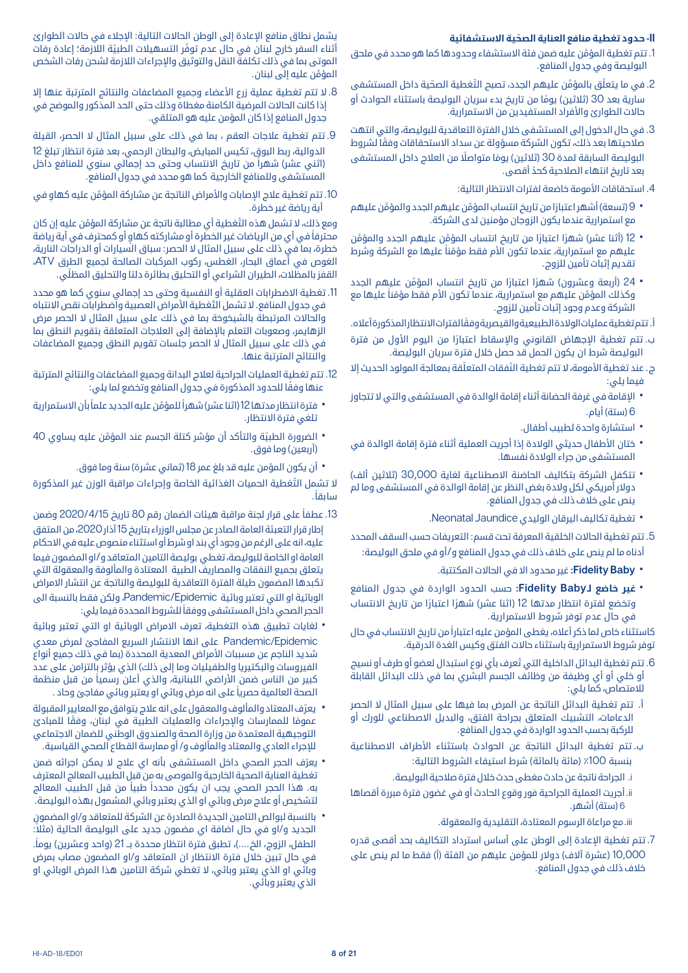### **II ّ - حدود تغطية منافع العناية الصحية االستشفائية**

- .1 َّ تتم تغطية المؤمن عليه ضمن فئة االستشفاء وحدودها كما هو محدد في ملحق البوليصة وفي جدول المنافع.
- 2. في ما يتعلّق بالمؤمّن عليهم الجدد، تصبح التّغطية الصحّية داخل المستشفى سارية بعد 30 (ثلاثين) يومًا من تاريخ بدء سريان البوليصة باستثناء الحوادث أو حالات الطوارئ والأفراد المستفيدين من الاستمرارية.
- .3 في حال الدخول إلى المستشفى خالل الفترة التعاقدية للبوليصة، والتي انتهت ً صالحيتها بعد ذلك، تكون الشركة مسؤولة عن سداد االستحقاقات وفقا لشروط البوليصة السابقة لمدة 30 (ثلاثين) يومًا متواصلًا من العلاج داخل المستشفى ّ بعد تاريخ انتهاء الصالحية كحد أقصى.
	- 4. استحقاقات الأمومة خاضعة لفترات الانتظار التالية:
- ۰ 9 (تسعة) أشهر اعتبارًا من تاريخ انتساب المؤمَّن عليهم الجدد والمؤمَّن عليهم<br>مع استمرارية عندما يكون الزوجان مؤمنين لدى الشركة.
- 12 (أثنا عشر) شهرًا اعتبارًا من تاريخ انتساب المؤمَّن عليهم الجدد والمؤمَّن<br>عليهم مع استمرارية، عندما تكون الأم فقط مؤمّناً عليها مع الشركة وشرط تقديم إثبات تأمين للزوج.
- 24 (أربعة وعشرون) شهرًا اعتبارًا من تاريخ انتساب المؤمَّن عليهم الجدد<br>وكذلك المؤمَّن عليهم مع استمرارية، عندما تكون الأم فقط مؤمّناً عليها مع الشركة وعدم وجود إثبات تأمين للزوج.

أ. ً تتم تغطية عمليات الوالدة الطبيعية والقيصرية وفقا لفترات االنتظار المذكورة أعاله.

- ب. تتم تغطية الإجهاض القانوني والإسقاط اعتبارًا من اليوم الاول من فترة البوليصة شرط ان يكون الحمل قد حصل خالل فترة سريان البوليصة.
- ج. عند تغطية الأمومة، لا تتم تغطية النّفقات المتعلّقة بمعالجة المولود الحديث إلا فيما يلي:
- الإقامة في غرفة الحضانة أثناء إقامة الوالدة في المستشفى والتي لا تتجاوز<br>6 (ستة) أيام.
	-
- استشارة واحدة لطبيب أطفال.<br>• ختان الأطفال حديثي الولادة إذا أجريت العملية أثناء فترة إقامة الوالدة في<br> المستشفى من جراء الولادة نفسها.
- تتكفل الشركة بتكاليف الحاضنة الاصطناعية لغاية 30,000 (ثلاثين ألف)<br>دولار أمريكي لكل ولادة بغض النظر عن إقامة الوالدة في المستشفى وما لم ينص على خالف ذلك في جدول المنافع.
	- تغطية تكاليف اليرقان الوليدي Jaundice Neonatal.
- .5 تتم تغطية الحاالت الخلقية المعرفة تحت قسم: التعريفات حسب السقف المحدد أدناه ما لم ينص على خالف ذلك في جدول المنافع و/أو في ملحق البوليصة:
	- **FidelityBaby:** غير محدود اال في الحاالت المكتتبة.
- ً ا من تاريخ االنتساب **غير خاضع لـBaby Fidelity:** حسب الحدود الواردة في جدول المنافع وتخضع لفترة انتظار مدتها 12 (اثنا عشر) شهرًا اعتبارًا من تاريخ الانتساب في حال عدم توفر شروط االستمرارية.

ً كاستثناء خاص لما ذكر أعاله، يغطى المؤمن عليه اعتبارا من تاريخ االنتساب في حال توفر شروط االستمرارية باستثناء حاالت الفتق وكيس الغدة الدرقية.

- .6 ُ تتم تغطية البدائل الداخلية التي تعرف بأي نوع استبدال لعضو أو طرف أو نسيج أو خلي أو أي وظيفة من وظائف الجسم البشري بما في ذلك البدائل القابلة للامتصاص، كما يلي:
- أ. تتم تغطية البدائل الناتجة عن المرض بما فيها على سبيل المثال ال الحصر الدعامات، التشبيك المتعلق بجراحة الفتق، والبديل االصطناعي للورك أو للركبة بحسب الحدود الواردة في جدول المنافع.
- ب. تتم تغطية البدائل الناتجة عن الحوادث باستثناء األطراف االصطناعية بنسبة 100٪ (مائة بالمائة) شرط استيفاء الشروط التالية:
	- i. الجراحة ناتجة عن حادث مغطى حدث خالل فترة صالحية البوليصة.
- ii. أجريت العملية الجراحية فور وقوع الحادث أو في غضون فترة مبررة أقصاها 6 (ستة) أشهر.

iii . مع مراعاة الرسوم المعتادة، التقليدية والمعقولة.

.7 تتم تغطية اإلعادة إلى الوطن على أساس استرداد التكاليف بحد أقصى قدره 10,000 (عشرة آلاف) دولار للمؤمن عليهم من الفئة (أ) فقط ما لم ينص على خلاف ذلك في جدول المنافع.

يشمل نطاق منافع اإلعادة إلى الوطن الحاالت التالية: اإلجالء في حاالت الطوارئ أثناء السفر خارج لبنان في حال عدم توفّر التسهيلات الطبيّة اللاّزمة؛ إعادة رفات الموتى بما في ذلك تكلفة النقل والتوثيق واإلجراءات الالزمة لشحن رفات الشخص َّ المؤمن عليه إلى لبنان.

- 8. لا تتم تغطية عملية زرع الأعضاء وجميع المضاعفات والنتائج المترتبة عنها إلا إذا كانت الحاالت المرضية الكامنة مغطاة وذلك حتى الحد المذكور والموضح في جدول المنافع إذا كان المؤمن عليه هو المتلقي.
- .9 تتم تغطية عالجات العقم ، بما في ذلك على سبيل المثال ال الحصر، القيلة الدوالية، ربط البوق، تكيس المبايض، والبطان الرحمي، بعد فترة انتظار تبلغ 12 (اثني عشر) شهراً من تاريخ الانتساب وحتى حد إجمالي سنوي للمنافع داخل المستشفى وللمنافع الخارجية كما هو محدد في جدول المنافع.
- 10. تتم تغطية علاج الإصابات والأمراض الناتجة عن مشاركة المؤمَّن عليه كهاو في أية رياضة غير خطرة.

ومع ذلك، لا تشمل هذه التّغطية أي مطالبة ناتجة عن مشاركة المؤمَّن عليه إن كان ً محترفا ٍ في أي من الرياضات غير الخطرة أو مشاركته كهاو أو كمحترف في أية رياضة خطرة، بما في ذلك على سبيل المثال ال الحصر: سباق السيارات أو الدراجات النارية، الغوص في أعماق البحار، الغطس، ركوب المركبات الصالحة لجميع الطرق ATV، ّ القفز بالمظالت، الطيران الشراعي أو التحليق بطائرة دلتا والتحليق المظلي.

- 11. تغطية الاضطرابات العقلية أو النفسية وحتى حد إجمالي سنوي كما هو محدد في جدول المنافع. لا تشمل التّغطية الأمراض العصبية واضطرابات نقص الانتباه والحاالت المرتبطة بالشيخوخة بما في ذلك على سبيل المثال ال الحصر مرض الزهايمر، وصعوبات التعلم باإلضافة إلى العالجات المتعلقة بتقويم النطق بما في ذلك على سبيل المثال ال الحصر جلسات تقويم النطق وجميع المضاعفات والنتائج المترتبة عنها.
- .12 تتم تغطية العمليات الجراحية لعالج البدانة وجميع المضاعفات والنتائج المترتبة ً عنها وفقا للحدود المذكورة في جدول المنافع وتخضع لما يلي:
- فترة انتظار مدتها 12 (اثنا عشر) شهراً للمؤمَّن عليه الجديد علماً بأن الاستمرارية<br> تلغي فترة الانتظار.
- الضرورة الطبيّة والتأكد أن مؤشر كتلة الجسم عند المؤمّن عليه يساوي 40<br>(أربعين) وما فوق.
	-

\* أن يكون المؤمن عليه قد بلغ عمر 18 (ثماني عشرة) سنة وما فوق.<br>لا تشمل التّغطية الحميات الغذائية الخاصة وإجراءات مراقبة الوزن غير المذكورة سابقاً.

- .13 ً عطفا على قرار لجنة مراقبة هيئات الضمان رقم 80 تاريخ 2020/4/15 وضمن إطار قرار التعبئة العامة الصادر عن مجلس الوزراء بتاريخ 15 آذار 2020، من المتفق عليه، انه على الرغم من وجود أي بند او شرط أو استثناء منصوص عليه في االحكام العامة او الخاصة للبوليصة، تغطي بوليصة التامين المتعاقد و/او المضمون فيما يتعلق بجميع النفقات والمصاريف الطبية المعتادة والمألوفة والمعقولة التي تكبدها المضمون طيلة الفترة التعاقدية للبوليصة والناتجة عن انتشار االمراض الوبائية او التي تعتبر وبائية Epidemic/Pandemic، ولكن فقط بالنسبة الى ً الحجر الصحي داخل المستشفى ووفقا للشروط المحددة فيما يلي:
- لغايات تطبيق هذه التغطية، تعرف الامراض الوبائية او التي تعتبر وبائية<br>Pandemic/Epidemic على انها الانتشار السريع المفاجئ لمرض معدي شديد الناجم عن مسببات الأمراض المعدية المحددة (بما في ذلك جميع أنواع الفيروسات والبكتيريا والطفيليات وما إلى ذلك) الذي يؤثر بالتزامن على عدد كبير من الناس ضمن الأراضي اللبنانية، والذي أعلن رسمياً من قبل منظمة ً الصحة العالمية حصريا على انه مرض وبائي او يعتبر وبائي مفاجئ وحاد .
- يعرّف المعتاد والمألوف والمعقول على انه علاج يتوافق مع المعايير المقبولة<br>عمومًا   للممارسات والإجراءات والعمليات الطبية في لبنان، وفقًا للمبادئ التوجيهية المعتمدة من وزارة الصحة والصندوق الوطني للضمان االجتماعي لإلجراء العادي والمعتاد والمألوف و/ أو ممارسة القطاع الصحي القياسية.
- يعرّف الحجر الصحي داخل المستشفى بأنه اي علاج لا يمكن اجرائه ضمن<br>تغطية العناية الصحية الخارجية والموصى به من قبل الطبيب المعالج المعترف ً به. هذا الحجر الصحي يجب ان يكون محددا ً طبيا من قبل الطبيب المعالج لتشخيص أو عالج مرض وبائي او الذي يعتبر وبائي المشمول بهذه البوليصة.
- ُ بالنسبة لبوالص التامين الجديدة الصادرة عن الشركة للمتعاقد و/او المضمون<br>الجديد و/او في حال اضافة اي مضمون جديد على البوليصة الحالية (مثلاً: الطفل، الزوج، الخ....)، تطبق فترة انتظار محددة بــ 21 (واحد وعشرين) يوماً. في حال تبين خالل فترة االنتظار ان المتعاقد و/او المضمون مصاب بمرض وبائي او الذي يعتبر وبائي، ال تغطي شركة التامين هذا المرض الوبائي او الذي يعتبر وبائي.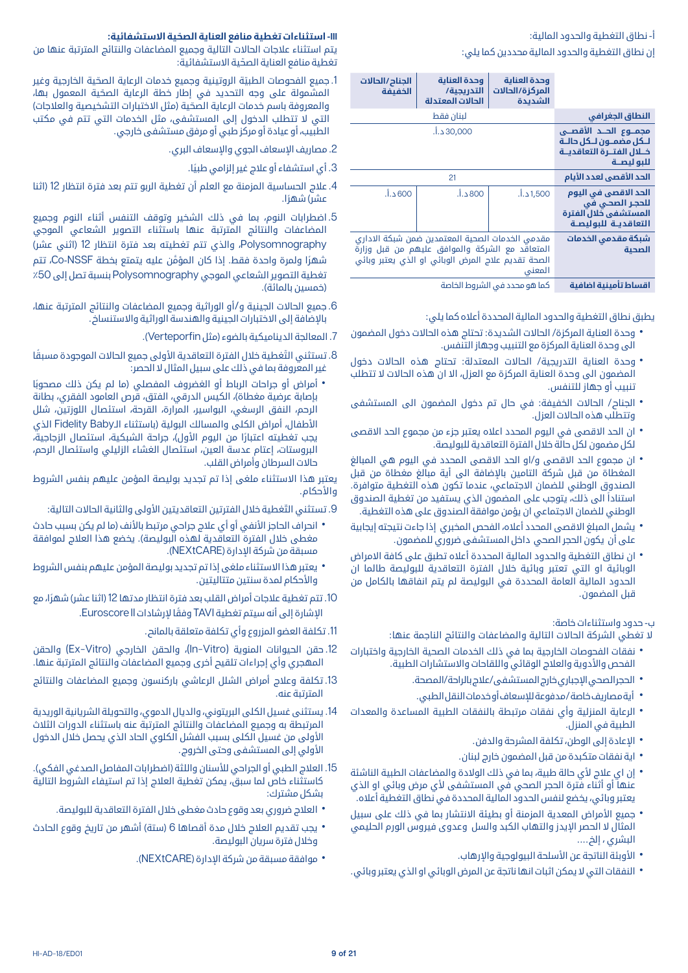### أ- نطاق التغطية والحدود المالية:

إن نطاق التغطية والحدود المالية محددين كما يلي:

|                                                                                               | وحدة العناية<br>المركزة/الحالات<br>الشديدة                                                                                                                        | وحدة العناية<br>التدريجية/<br>الحالات المعتدلة | الجناح /الحالات<br>الخفيفة |
|-----------------------------------------------------------------------------------------------|-------------------------------------------------------------------------------------------------------------------------------------------------------------------|------------------------------------------------|----------------------------|
| النطاق الجغرافي                                                                               | لبنان فقط                                                                                                                                                         |                                                |                            |
| مجمـــوع الحـــد الأقصــي<br>للكل مضمنون للكل حالية<br>خلال الفتـرة التعاقديـة<br>للبو ليصــة |                                                                                                                                                                   | 30,000 د.أ.                                    |                            |
| الحد الأقصى لعدد الأيام                                                                       | 21                                                                                                                                                                |                                                |                            |
| الحد الاقصى في اليوم<br>للحجر الصحي في<br>المستشفى خلال الفترة<br>التعاقديـة للبوليصـة        | 1,500 د.أ.                                                                                                                                                        | 800 د.أ.                                       | 600 د.أ.                   |
| شبكة مقدمى الخدمات<br>الصحية                                                                  | مقدمي الخدمات الصحية المعتمدين ضمن شبكة الاداري<br>المتعاقد مع الشركة والموافق عليهم من قبل وزارة<br>الصحة تقديم علاج المرض الوبائى او الذي يعتبر وبائى<br>المعنى |                                                |                            |
| والتروين المارة أسرود وتتراشر اشروتني                                                         | كملهم وجددت الشبوط الخامية                                                                                                                                        |                                                |                            |

**اقساط تأمينية اضافية** كما هو محدد في الشروط الخاصة

يطبق نطاق التغطية والحدود المالية المحددة أعاله كما يلي:

- وحدة العناية المركزة/ الحالات الشديدة: تحتاج هذه الحالات دخول المضمون<br> الى وحدة العناية المركزة مع التنبيب وجهاز التنفس.
- وحدة العناية التدريجية/ الحالات المعتدلة: تحتاج هذه الحالات دخول<br> المضمون الى وحدة العناية المركزة مع العزل، الا ان هذه الحالات لا تتطلب تنبيب أو جهاز للتنفس.
- الجناح/ الحالات الخفيفة: في حال تم دخول المضمون الى المستشفى<br>وتتطلب هذه الحالات العزل.
- ان الحد الاقصى في اليوم المحدد اعلاه يعتبر جزء من مجموع الحد الاقصى<br>لكل مضمون لكل حالة خلال الفترة التعاقدية للبوليصة.
- ان مجموع الحد الاقصى و/او الحد الاقصى المحدد في اليوم هي المبالغ<br>المغطاة من قبل شركة التامين بالإضافة الى أية مبالغ مغطاة من قبل الصندوق الوطني للضمان االجتماعي، عندما تكون هذه التغطية متوافرة. ً استنادا الى ذلك، يتوجب على المضمون الذي يستفيد من تغطية الصندوق الوطني للضمان االجتماعي ان يؤمن موافقة الصندوق على هذه التغطية.
- يشمل المبلغ الاقصى المحدد أعلاه، الفحص المخبري إذا جاءت نتيجته إيجابية<br> على أن يكون الحجر الصحى داخل المستشفى ضرورى للمضمون.
- ان نطاق التغطية والحدود المالية المحددة أعلاه تطبق على كافة الامراض<br> الوبائية او التي تعتبر وبائية خلال الفترة التعاقدية للبوليصة طالما ان الحدود المالية العامة المحددة في البوليصة لم يتم انفاقها بالكامل من قبل المضمون.

### ب- حدود واستثناءات خاصة:

ال تغطي الشركة الحاالت التالية والمضاعفات والنتائج الناجمة عنها:

- نفقات الفحوصات الخارجية بما في ذلك الخدمات الصحية الخارجية واختبارات<br> الفحص والأدوية والعلاج الوقائى واللقاحات والاستشارات الطبية.
	-
	-
- الحجر الصحي الإجباري خارج المستشفى/علاج بالراحة/المصحة.<br>• أيةمصاريف خاصة/مدفوعة للإسعاف أو خدمات النقل الطبي.<br>• الرعاية المنزلية وأي نفقات مرتبطة بالنفقات الطبية المساعدة والمعدات<br> الطبية في المنزل.
	-
	-
- الإعادة إلى الوطن، تكلفة المشرحة والدفن.<br>• اية نفقات متكبدة من قبل المضمون خارج لبنان.<br>• إن اي علاج لأي حالة طبية، بما في ذلك الولادة والمضاعفات الطبية الناشئة<br>• عنها أو أثناء فترة الحجر الصحى فى المستشفى لأى مرض وبائى يعتبر وبائي، يخضع لنفس الحدود المالية المحددة في نطاق التغطية أعاله.
- جميع الأمراض المعدية المزمنة أو بطيئة الانتشار بما في ذلك على سبيل<br>المثال لا الحصر الإيدز والتهاب الكبد والسل وعدوى فيروس الورم الحليمي البشري ، إلخ....
	-
- الأوبئة الناتجة عن الأسلحة البيولوجية والإرهاب.<br>• النفقات التي لا يمكن اثبات انها ناتجة عن المرض الوبائي او الذي يعتبر وبائي.

### **III ّ - استثناءات تغطية منافع العناية الصحية االستشفائية:**

يتم استثناء عالجات الحاالت التالية وجميع المضاعفات والنتائج المترتبة عنها من ّ تغطية منافع العناية الصحية االستشفائية:

- 1. جميع الفحوصات الطبيّة الروتينية وجميع خدمات الرعاية الصحّية الخارجية وغير ّ المشمولة على وجه التحديد في إطار خطة الرعاية الصحية المعمول بها، والمعروفة باسم خدمات الرعاية الصحّية (مثل الاختبارات التشخيصية والعلاجات) التي لا تتطلب الدخول إلى المستشفى، مثل الخدمات التي تتم في مكتب الطبيب، أو عيادة أو مركز طبي أو مرفق مستشفى خارجي.
	- .2 مصاريف اإلسعاف الجوي واإلسعاف البري.
		- 3. أي استشفاء أو علاج غير إلزامي طبيًا.
- .4 عالج الحساسية المزمنة مع العلم أن تغطية الربو تتم بعد فترة انتظار 12 )اثنا عشا) شهرًا.
- .5 اضطرابات النوم، بما في ذلك الشخير وتوقف التنفس أثناء النوم وجميع المضاعفات والنتائج المترتبة عنها باستثناء التصوير الشعاعي الموجي Polysomnography، والذي تتم تغطيته بعد فترة انتظار 12 (اثني عشر) ًشهر َّ ا ولمرة واحدة فقط. إذا كان المؤمن عليه يتمتع بخطة NSSF-Co، تتم تغطية التصوير الشعاعي الموجي Polysomnography بنسبة تصل إلى ٪50 (خمسين بالمائة).
- .6 جميع الحاالت الجينية و/أو الوراثية وجميع المضاعفات والنتائج المترتبة عنها، باإلضافة إلى االختبارات الجينية والهندسة الوراثية واالستنساخ.
	- .7 المعالجة الديناميكية بالضوء )مثل Verteporfin).
- 8. تستثني التَّغطية خلال الفترة التعاقدية الأولى جميع الحالات الموجودة مسبقًا غير المعروفة بما في ذلك على سبيل المثال ال الحصر:
- أمراض أو جراحات الرباط أو الغضروف المفصلي (ما لم يكن ذلك مصحوبًا<br>بإصابة عرضية مغطاة)، الكيس الدرقي، الفتق، قرص العامود الفقري، بطانة الرحم، النفق الرسغي، البواسير، المرارة، القرحة، استئصال اللوزتين، شلل الأطفال، أمراض الكلى والمسالك البولية (باستثناء الـFidelity Baby الذي يجب تغطيته اعتبارًا من اليوم الأول)، جراحة الشبكية، استئصال الزجاجية، البروستات، إعتام عدسة العين، استئصال الغشاء الزليلي واستئصال الرحم، حاالت السرطان وأمراض القلب.

يعتبر هذا االستثناء ملغى إذا تم تجديد بوليصة المؤمن عليهم بنفس الشروط والأحكام.

- 9. تستثني التّغطية خلال الفترتين التعاقديتين الأولى والثانية الحالات التالية:
- انحراف الحاجز الأنفي أو أي علاج جراحي مرتبط بالأنف (ما لم يكن بسبب حادث<br>مغطى خلال الفترة التعاقدية لهذه البوليصة). بخضع هذا العلاج لموافقة مسبقة من شركة اإلدارة )NEXtCARE).
- يعتبر هذا الاستثناء ملغى إذا تم تجديد بوليصة المؤمن عليهم بنفس الشروط<br>والأحكام لمدة سنتين متتاليتين.
- 10. تتم تغطية علاجات أمراض القلب بعد فترة انتظار مدتها 12 (اثنا عشر) شهرًا، مع اإلشارة إلى أنه سيتم تغطية TAVI ً وفقا إلرشادات II Euroscore.
	- .11 تكلفة العضو المزروع وأي تكلفة متعلقة بالمانح.
- 12. حقن الحيوانات المنوية (In–Vitro)، والحقن الخارجي (Ex–Vitro) والحقن المهجري وأي إجراءات تلقيح أخرى وجميع المضاعفات والنتائج المترتبة عنها.
- .13 تكلفة وعالج أمراض الشلل الرعاشي باركنسون وجميع المضاعفات والنتائج المترتبة عنه.
- .14 يستثنى غسيل الكلى البريتوني، والديال الدموي، والتحويلة الشريانية الوريدية المرتبطة به وجميع المضاعفات والنتائج المترتبة عنه باستثناء الدورات الثالث األولى من غسيل الكلى بسبب الفشل الكلوي الحاد الذي يحصل خالل الدخول األولي إلى المستشفى وحتى الخروج.
- 15. العلاج الطبي أو الجراحي للأسنان واللثة (اضطرابات المفاصل الصدغى الفكى). كاستثناء خاص لما سبق، يمكن تغطية العالج إذا تم استيفاء الشروط التالية بشكل مشترك:
	- العالج ضروري بعد وقوع حادث مغطى خالل الفترة التعاقدية للبوليصة.
- يجب تقديم العلاج خلال مدة أقصاها 6 (ستة) أشهر من تاريخ وقوع الحادث<br>• وخلال فترة سريان البوليصة.
	- موافقة مسبقة من شركة اإلدارة )NEXtCARE).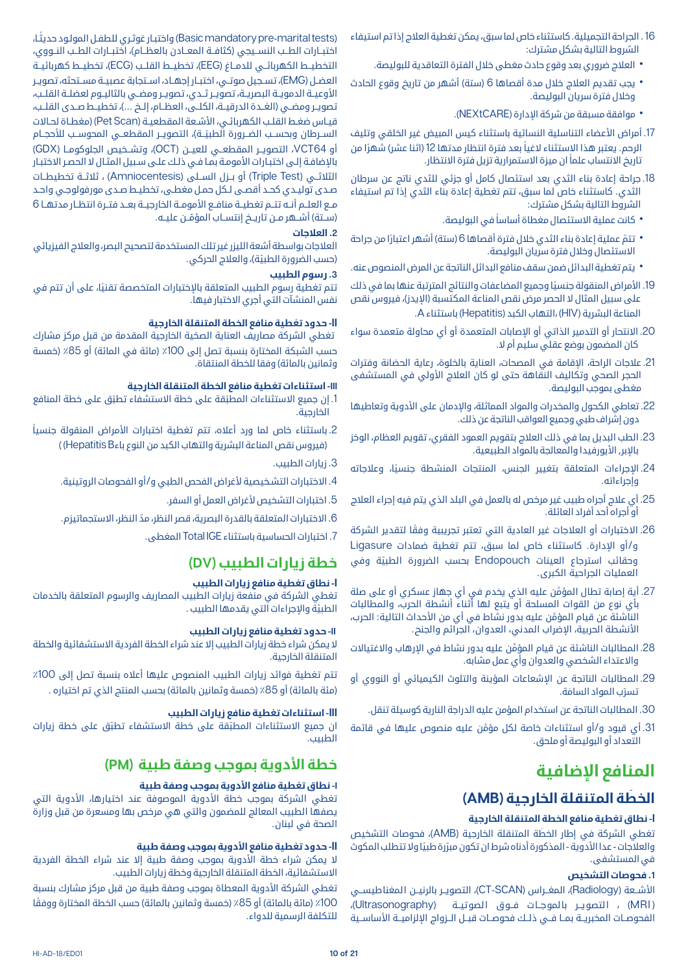- .16 الجراحة التجميلية. كاستثناء خاص لما سبق، يمكن تغطية العالج إذا تم استيفاء الشروط التالية بشكل مشترك:
	- العالج ضروري بعد وقوع حادث مغطى خالل الفترة التعاقدية للبوليصة.
- يجب تقديم العلاج خلال مدة أقصاها 6 (ستة) أشهر من تاريخ وقوع الحادث<br>وخلال فترة سريان البوليصة.
	- موافقة مسبقة من شركة اإلدارة )NEXtCARE).
- 17. أمراض الأعضاء التناسلية النسائية باستثناء كيس المبيض غير الخلقى وتليف الرحم. يعتبر هذا الاستثناء لاغياً بعد فترة انتظار مدتها 12 (اثنا عشر) شهرًا من ً تاريخ االنتساب علما ان ميزة االستمرارية تزيل فترة االنتظار.
- .18 جراحة إعادة بناء الثدي بعد استئصال كامل أو جزئي للثدي ناتج عن سرطان الثدي. كاستثناء خاص لما سبق، تتم تغطية إعادة بناء الثدي إذا تم استيفاء الشروط التالية بشكل مشترك:
	- ً كانت عملية االستئصال مغطاة أساسا في البوليصة.
- تتمّ عملية إعادة بناء الثدي خلال فترة أقصاها 6 (ستة) أشهر اعتبارًا من جراحة<br> الاستئصال وخلال فترة سريان البوليصة.
- يتم تغطية البدائل ضمن سقف منافع البدائل الناتجة عن المرض المنصوص عنه.
- 19. الأمراض المنقولة جنسيًا وجميع المضاعفات والنتائج المترتبة عنها بما في ذلك على سبيل المثال لا الحصر مرض نقص المناعة المكتسبة (الإيدز)، فيروس نقص المناعة البشرية )HIV )،التهاب الكبد )Hepatitis )باستثناء A.
- .20 االنتحار أو التدمير الذاتي أو اإلصابات المتعمدة أو أي محاولة متعمدة سواء كان المضمون بوضع عقلي سليم أم ال.
- 21. علاجات الراحة، الاقامة في المصحات، العناية بالخلوة، رعاية الحضانة وفترات الحجر الصحي وتكاليف النقاهة حتى لو كان العلاج الأولى في المستشفى مغطى بموجب البوليصة.
- 22. تعاطي الكحول والمخدرات والمواد المماثلة، والإدمان على الأدوية وتعاطيها دون إشراف طبي وجميع العواقب الناتجة عن ذلك.
- .23 الطب البديل بما في ذلك العالج بتقويم العمود الفقري، تقويم العظام، الوخز بالابر, الأيورفيدا والمعالجة بالمواد الطبيعية.
- .24 ً اإلجراءات المتعلقة بتغيير الجنس، المنتجات المنشطة جنسيا، وعالجاته وإجراءاته.
- .25 أي عالج أجراه طبيب غير مرخص له بالعمل في البلد الذي يتم فيه إجراء العالج أو أجراه أحد أفراد العائلة.
- 26. الاختبارات أو العلاجات غير العادية التي تعتبر تجريبية وفقًا لتقدير الشركة و/أو اإلدارة. كاستثناء خاص لما سبق، تتم تغطية ضمادات Ligasure وحقائب استرجاع العينات Endopouch ّ بحسب الضرورة الطبية وفي العمليات الجراحية الكبرى.
- .27 َّ أية إصابة تطال المؤمن عليه الذي يخدم في أي جهاز عسكري أو على صلة باي نوع من القوات المسلحة أو يتبع لها أثناء أنشطة الحرب، والمطالبات َّ الناشئة عن قيام المؤمن عليه بدور نشاط في أي من األحداث التالية: الحرب، الأنشطة الحربية، الإضراب المدني، العدوان، الجرائم والجنح.
- .28 َّ المطالبات الناشئة عن قيام المؤمن عليه بدور نشاط في اإلرهاب واالغتياالت واالعتداء الشخصي والعدوان وأي عمل مشابه.
- .29 المطالبات الناتجة عن اإلشعاعات المؤينة والتلوث الكيميائي أو النووي أو نسرّب المواد السامَة.
	- .30 المطالبات الناتجة عن استخدام المؤمن عليه الدراجة النارية كوسيلة تنقل.
- 31. أي قيود و/أو استثناءات خاصة لكل مؤمَّن عليه منصوص عليها في قائمة التعداد أو البوليصة أو ملحق.

### **المنافع اإلضافية**

### **َ الخطة المتنقلة الخارجية )AMB)**

### **I- نطاق تغطية منافع الخطة المتنقلة الخارجية**

َ تغطي الشركة في إطار الخطة المتنقلة الخارجية )AMB)، فحوصات التشخيص والعلاجات - عدا الآدوية - المذكورة ادناه شرط ان تكون مبرَّرة طبيًا ولا تتطلب المكوث في المستشفى.

### **.1 فحوصات التشخيص**

الأشــعة (Radiology)، المغــراس (CT-SCAN)، التصويــر بالرنيــن ا لمغنا طيســي (MRI) ، التصوير بالموجـات فـوق الصوتيـة (Ultrasonography)، الفحوصــات المخبريــة بمــا فــي ذلــك فحوصــات قبــل الــزواج الإلزاميــة الأساســية

)maritaltests-Basicmandatorypre ً ) واختبـار غوثـري للطفـل المولـود حديثـا، اختبــارات الطــب النســيجي (كثافــة المعــادن بالعظــام)، اختبــارات الطــب النــووي، التخطيــط الكهربائــي للدمــاغ (EEG)، تخطيـــط القلــب (ECG)، تخطيــط كهربائيــة العضــل )EMG)، تســجيل صوتــي، اختبــار إجهــاد، اســتجابة عصبيــة مســتحثه، تصويــر األوعيــة الدمويــة البصريــة، تصويــر ثــدي، تصويــر ومضــي بالثاليــوم لعضلــة القلــب، تصويـر ومضـي (الغـدة الدرقيــة، الكلــى، العظـام، إلـخ ...)، تخطيــط صـدى القلــب، قيـاس ضغـط القلـب الكهربائـي، الأشـعة المقطعيـة (Pet Scan) (مغطـاة لحـالات الســرطان وبحســب الضــرورة الطبيّــة)، التصويــر المقطعــي المحوســب للأحجــام أو 64VCT، التصويــر المقطعــي للعيــن )OCT)، وتشــخيص الجلوكومــا )GDX ) باإلضافـة إلـى اختبـارات األمومـة بمـا فـي ذلـك علـى سـبيل المثـال ال الحصـر االختبـار الثلاثــي (Triple Test) أو بــزل الســلى (Amniocentesis) ، ثلاثــة تخطيطــات صـدى توليـدي كحـد أقصـى لـكل حمـل مغطـى، تخطيـط صـدى مورفولوجـي واحـد مـع العلـم أنــه تتــم تغطيــة منافـع الأمومــة الخارجيــة بعــد فتــرة انتظــار مدتهــا 6 (ســتة) أشــهر مــن تاريــخ إنتســاب المؤمّــن عليــه.

### **.2 العالجات**

العالجات بواسطة أشعة الليزر غير تلك المستخدمة لتصحيح البصر، والعالج الفيزيائي (حسب الضرورة الطبيّة)، والعلاج الحركي.

### **.3 رسوم الطبيب**

ً تتم تغطية رسوم الطبيب المتعلقة باإلختبارات المتخصصة تقنيا، على أن تتم في نفس المنشآت التي أجري االختبار فيها.

### **II- حدود تغطية منافع الخطة المتنقلة الخارجية**

ّ تغطي الشركة مصاريف العناية الصحية الخارجية المقدمة من قبل مركز مشارك حسب الشبكة المختارة بنسبة تصل إلى 100٪ (مائة في المائة) أو 85٪ (خمسة وثمانين بالمائة) وفقا للخطة المنتقاة.

### **III- استثناءات تغطية منافع الخطة المتنقلة الخارجية**

- 1. إن جميع الاستثناءات المطبّقة على خطة الاستشفاء تطبّق على خطة المنافع الخارجية.
- 2. باستثناء خاص لما ورد أعلاه، تتم تغطية اختبارات الأمراض المنقولة جنسياً )فيروس نقص المناعة البشرية والتهاب الكبد من النوع باءHepatitisB) )
	- .3 زيارات الطبيب.
	- 4. الاختبارات التشخيصية لأغراض الفحص الطبي و/أو الفحوصات الروتينية.
		- 5. اختبارات التشخيص لأغراض العمل أو السفر.
	- .6 ّ االختبارات المتعلقة بالقدرة البصرية، قصر النظر، مد النظر، االستجماتيزم.
		- .7 اختبارات الحساسية باستثناء IGE Total المغطى.

### **خطة زيارات الطبيب )DV )**

### **I- نطاق تغطية منافع زيارات الطبيب**

تغطي الشركة في منفعة زيارات الطبيب المصاريف والرسوم المتعلقة بالخدمات الطبيّة والإجراءات التي يقدمها الطبيب .

### **II- حدود تغطية منافع زيارات الطبيب**

ال يمكن شراء خطة زيارات الطبيب إال عند شراء الخطة الفردية االستشفائية والخطة المتنقلة الخارجية.

تتم تغطية فوائد زيارات الطبيب المنصوص عليها أعلاه بنسبة تصل إلى 100٪ (مئة بالمائة) أو 85٪ (خمسة وثمانين بالمائة) بحسب المنتج الذي تم اختياره .

### **III- استثناءات تغطية منافع زيارات الطبيب**

ان جميع الاستثناءات المطبّقة على خطة الاستشفاء تطبّق على خطة زيارات الطبيب.

### **خطة األدوية بموجب وصفة طبية )PM )**

### **I- نطاق تغطية منافع األدوية بموجب وصفة طبية**

تغطي الشركة بموجب خطة الأدوية الموصوفة عند اختيارها، الأدوية التي يصفها الطبيب المعالج للمضمون والتي هي مرخص بها ومسعرة من قبل وزارة الصحة في لبنان.

### **II- حدود تغطية منافع األدوية بموجب وصفة طبية**

لا يمكن شراء خطة الأدوية بموجب وصفة طبية إلا عند شراء الخطة الفردية االستشفائية، الخطة المتنقلة الخارجية وخطة زيارات الطبيب.

تغطي الشركة الأدوية المعطاة بموجب وصفة طبية من قبل مركز مشارك بنسبة 100٪ (مائة بالمائة) أو 85٪ (خمسة وثمانين بالمائة) حسب الخطة المختارة ووفقًا للتكلفة الرسمية للدواء.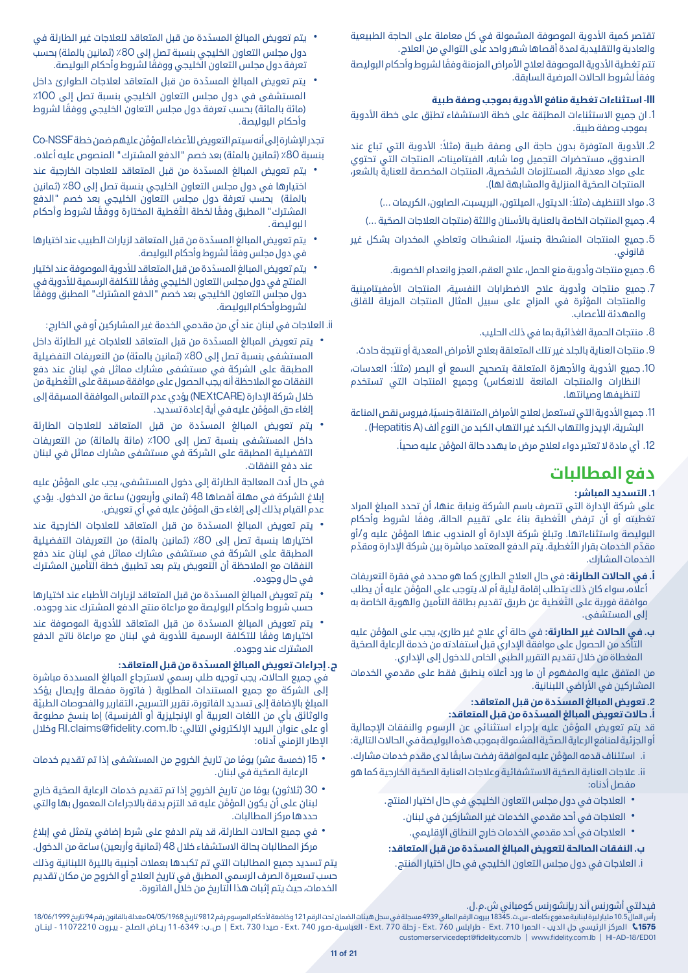تقتصر كمية الأدوية الموصوفة المشمولة في كل معاملة على الحاجة الطبيعية والعادية والتقليدية لمدة أقصاها شهر واحد على التوالي من العالج.

تتم تغطية الأدوية الموصوفة لعلاج الأمراض المزمنة وفقًا لشروط وأحكام البوليصة ً وفقا لشروط الحاالت المرضية السابقة.

### **III- استثناءات تغطية منافع األدوية بموجب وصفة طبية**

- 1. ان جميع الاستثناءات المطبّقة على خطة الاستشفاء تطبّق على خطة الأدوية بموجب وصفة طبية.
- 2. الأدوية المتوفرة بدون حاجة الى وصفة طبية (مثلاً: الأدوية التي تباع عند الصندوق، مستحضرات التجميل وما شابه، الفيتامينات، المنتجات التي تحتوي على مواد معدنية، المستلزمات الشخصية، المنتجات المخصصة للعناية بالشعر، المنتجات الصحّية المنزلية والمشابهة لها).
	- 3. مواد التنظيف (مثلاً: الديتول، الميلتون، البريسبت، الصابون، الكريمات ...)
	- 4. جميع المنتجات الخاصة بالعناية بالأسنان واللثة (منتجات العلاجات الصحّية ...)
- .5 ً جميع المنتجات المنشطة جنسيا، المنشطات وتعاطي المخدرات بشكل غير قانوني.
	- .6 جميع منتجات وأدوية منع الحمل، عالج العقم، العجز وانعدام الخصوبة.
- .7 جميع منتجات وأدوية عالج االضطرابات النفسية، المنتجات األمفيتامينية والمنتجات المؤثرة في المزاج على سبيل المثال المنتجات المزيلة للقلق والمهدئة لألعصاب.
	- .8 منتجات الحمية الغذائية بما في ذلك الحليب.
- .9 منتجات العناية بالجلد غير تلك المتعلقة بعالج األمراض المعدية أو نتيجة حادث.
- 10. جميع الأدوية والأجهزة المتعلقة بتصحيح السمع أو البصر (مثلاً: العدسات، النظارات والمنتجات المانعة لالنعكاس( وجميع المنتجات التي تستخدم لتنظيفها وصيانتها.
- 11. جميع الأدوية التي تستعمل لعلاج الأمراض المتنقلة جنسيًا، فيروس نقص المناعة البشرية، اإليدز والتهاب الكبد غير التهاب الكبد من النوع ألف )HepatitisA ).
	- 12. أي مادة لا تعتبر دواء لعلاج مرض ما يهدد حالة المؤمّن عليه صحياً.

### **دفع المطالبات**

### **.1 التسديد المباشر:**

على شركة اإلدارة التي تتصرف باسم الشركة ونيابة عنها، أن تحدد المبلغ المراد تغطيته أو أن ترفض التّغطية بناءً على تقييم الحالة، وفقًا لشروط وأحكام َّ البوليصة واستثناءاتها. وتبلغ شركة اإلدارة أو المندوب عنها المؤمن عليه و/أو مقدّم الخدمات بقرار التّغطية. يتم الدفع المعتمد مباشرة بين شركة الإدارة ومقدّم الخدمات المشارك.

- **أ. في الحاالت الطارئة:** في حال العالج الطارئ كما هو محدد في فقرة التعريفات َّ أعاله، سواء كان ذلك يتطلب إقامة ليلية أم ال، يتوجب على المؤمن عليه أن يطلب ّ موافقة فورية على التغطية عن طريق تقديم بطاقة التأمين والهوية الخاصة به إلى المستشفى.
- **ب. في الحاالت غير الطارئة:** َّ في حالة أي عالج غير طارئ، يجب على المؤمن عليه ّ التأكد من الحصول على موافقة اإلداري قبل استفادته من خدمة الرعاية الصحية المغطاة من خلال تقديم التقرير الطبي الخاص للدخول إلى الإداري.

من المتفق عليه والمفهوم أن ما ورد أعاله ينطبق فقط على مقدمي الخدمات المشاركين في الأراضي اللبنانية.

### **2 ّ . تعويض المبالغ المسددة من قبل المتعاقد:**

### **أ. ّ حاالت تعويض المبالغ المسددة من قبل المتعاقد:**

َّ قد يتم تعويض المؤمن عليه بإجراء استثنائي عن الرسوم والنفقات اإلجمالية ّ أو الجزئية لمنافع الرعاية الصحية المشمولة بموجب هذه البوليصة في الحاالت التالية:

- َّ استئناف قدمه المؤم i. ً ن عليه لموافقة رفضت سابقا لدى مقدم خدمات مشارك.
- ii. علاجات العناية الصحّية الاستشفائية وعلاجات العناية الصحّية الخارجية كما هو مفصل أدناه:
	-
	- العلاجات في دول مجلس التعاون الخليجي في حال اختيار المنتج.<br>• العلاجات في أحد مقدمي الخدمات غير المشاركين في لبنان.<br>• العلاجات في أحد مقدمي الخدمات خارج النطاق الإقليمي.<br>**ب. النفقات الصالحة لتعويض المبالغ المسدّدة من** 
		-

i. العالجات في دول مجلس التعاون الخليجي في حال اختيار المنتج.

- يتم تعويض المبالغ المسدّدة من قبل المتعاقد للعلاجات غير الطارئة في<br>دول مجلس التعاون الخليجي بنسبة تصل إلى 80٪ (ثمانين بالمئة) بحسب ً تعرفة دول مجلس التعاون الخليجي ووفقا لشروط وأحكام البوليصة.
- يتم تعويض المبالغ المسدّدة من قبل المتعاقد لعلاجات الطوارئ داخل<br>المستشفى في دول مجلس التعاون الخليجي بنسبة تصل إلى 100٪ (مائة بالمائة) بحسب تعرفة دول مجلس التعاون الخليجي ووفقًا لشروط وأحكام البوليصة.

َّ تجدر اإلشارة إلى أنه سيتم التعويض لألعضاء المؤمن عليهم ضمن خطة NSSF-Co بنسبة 80٪ (ثمانين بالمئة) بعد خصم "الدفع المشترك" المنصوص عليه أعلاه.

- يتم تعويض المبالغ المسدّدة من قبل المتعاقد للعلاجات الخارجية عند<br>• أختيارها في دول مجلس التعاون الخليجي بنسبة تصل إلى 80٪ (ثمانين بالمئة) بحسب تعرفة دول مجلس التعاون الخليجي بعد خصم "الدفع المشترك" المطبق وفقًا لخطة التّغطية المختارة ووفّقًا لشروط وأحكام ا لبو ليصة .
- يتم تعويض المبالغ المسدّدة من قبل المتعاقد لزيارات الطبيب عند اختيارها<br>في دول مجلس وفقاً لشروط وأحكام البوليصة.
- يتم تعويض المبالغ المسدّدة من قبل المتعاقد للأدوية الموصوفة عند اختيار<br>المنتج في دول مجلس التعاون الخليجي وفقًا للتكلفة الرسمية للأدوية في ً دول مجلس التعاون الخليجي بعد خصم "الدفع المشترك" المطبق ووفقا لشروط وأحكام البوليصة.

ii. العالجات في لبنان عند أي من مقدمي الخدمة غير المشاركين أو في الخارج:

- يتم تعويض المبالغ المسدّدة من قبل المتعاقد للعلاجات غير الطارئة داخل<br>• المستشفى بنسبة تصل إلى 80٪ (ثمانين بالمئة) من التعريفات التفضيلية المطبقة على الشركة في مستشفى مشارك مماثل في لبنان عند دفع ّ النفقات مع المالحظة أنه يجب الحصول على موافقة مسبقة على التغطية من خالل شركة اإلدارة )NEXtCARE )يؤدي عدم التماس الموافقة المسبقة إلى َّ إلغاء حق المؤمن عليه في أية إعادة تسديد.
- <mark>يتم تعويض المبالغ المسدّدة من قبل المتعاقد للعلاجات الطارئة</mark><br>داخل المستشفى بنسبة تصل إلى 100٪ (مائة بالمائة) من التعريفات التفضيلية المطبقة على الشركة في مستشفى مشارك مماثل في لبنان عند دفع النفقات.

َّ في حال أدت المعالجة الطارئة إلى دخول المستشفى، يجب على المؤمن عليه إبلاغ الشركة في مهلة أقصاها 48 (ثماني وأربعون) ساعة من الدخول. يؤدي َّ عدم القيام بذلك إلى إلغاء حق المؤمن عليه في أي تعويض.

- يتم تعويض المبالغ المسدّدة من قبل المتعاقد للعلاجات الخارجية عند<br>• اختيارها بنسبة تصل إلى 80٪ (ثمانين بالمئة) من التعريفات التفضيلية المطبقة على الشركة في مستشفى مشارك مماثل في لبنان عند دفع النفقات مع المالحظة أن التعويض يتم بعد تطبيق خطة التأمين المشترك في حال وجوده.
- يتم تعويض المبالغ المسدّدة من قبل المتعاقد لزيارات الأطباء عند اختيارها<br>حسب شروط واحكام البوليصة مع مراعاة منتج الدفع المشترك عند وجوده.
- ً يتم تعويض المبالغ المسدّدة من قبل المتعاقد للأدوية الموصوفة عند<br>اختيارها وفقًا للتكلفة الرسمية للأدوية في لبنان مع مراعاة ناتج الدفع المشترك عند وجوده.

### **ج. ّ إجراءات تعويض المبالغ المسددة من قبل المتعاقد:**

 في جميع الحاالت، يجب توجيه طلب رسمي السترجاع المبالغ المسددة مباشرة إلى الشركة مع جميع المستندات المطلوبة ) فاتورة مفصلة وإيصال يؤكد المبلغ بالاضافة إلى تسديد الفاتورة، تقرير التسريح، التقارير والفحوصات الطبيّة والوثائق بأي من اللغات العربية أو الإنجليزية أو الفرنسية) إما بنسخ مطبوعة أو على عنوان البريد الإلكتروني التالي: Rl.claims@fidelity.com.lb وخلال اإلطار الزمني أدناه:

- 15 (خمسة عشر) يومًا من تاريخ الخروج من المستشفى إذا تم تقديم خدمات<br>الرعاية الصحّية في لبنان.
- 30 (ثلاثون) يومًا من تاريخ الخروج إذا تم تقديم خدمات الرعاية الصحّية خارج<br> لبنان على أن يكون المؤمَّن عليه قد التزم بدقة بالاجراءات المعمول بها والتي حددها مركز المطالبات.
- في جميع الحالات الطارئة، قد يتم الدفع على شرط إضافي يتمثل في إبلاغ<br>مركز المطالبات بحالة الاستشفاء خلال 48 (ثمانية وأربعين) ساعة من الدخول.

يتم تسديد جميع المطالبات التي تم تكبدها بعمالت أجنبية بالليرة اللبنانية وذلك حسب تسعيرة الصرف الرسمي المطبق في تاريخ العالج أو الخروج من مكان تقديم الخدمات، حيث يتم إثبات هذا التاريخ من خالل الفاتورة.

فيدلتي أشورنس أند ريإنشورنس كومباني ش.م.ل.

راس المال 10.5 مليار ليرة لبنانية مدفوع بكامله - س.ت. 18345 بيروت الرقم المالي قم سجلة في سجل هيئات الضمان تحت الرقم 121 وخاضعة لأحكام المرسوم رقم 9812 تاريخ 04/05/1968 معدلة بالقانون رقم 94 تاريخ 18/06/1999 معدلة بالقانون المركز الرئيسي جل الديب - الحمرا 710 .Ext - طرابلس 760 .Ext - زحلة 770 .Ext - العباسية-صـور 740 .Ext - صيدا 730 .Ext | ص.ب: 11-6349 ريــاض الصلـح - بيـروت 11072210 - لبنــان customerservicedept@fidelity.com.lb | www.fidelity.com.lb | HI-AD-18/ED01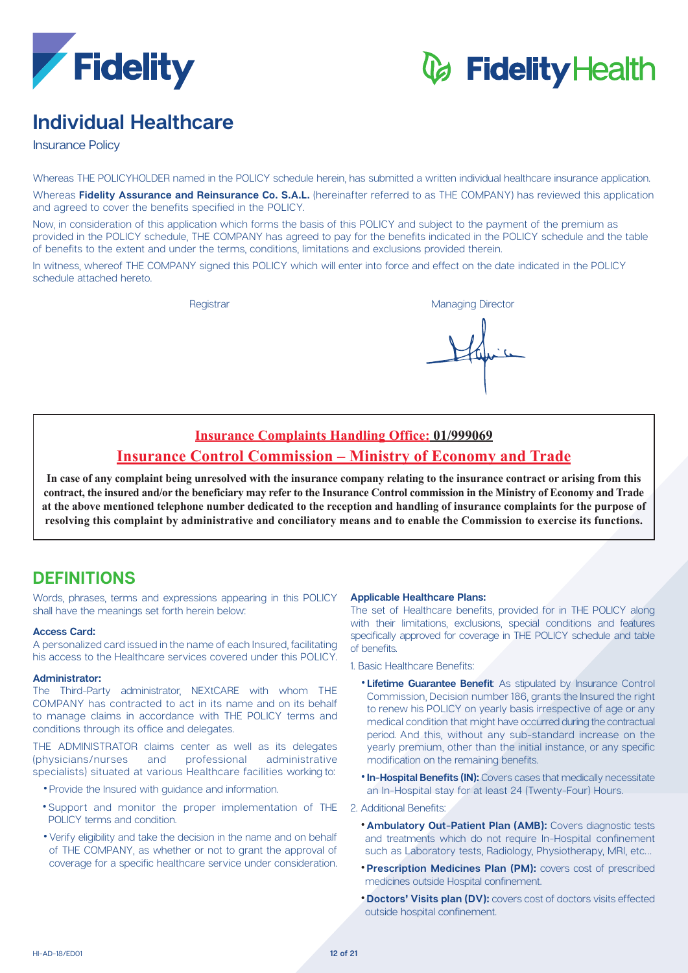

# *C* Fidelity Health

### **Healthcare Individual**

**Insurance Policy** 

Whereas THE POLICYHOLDER named in the POLICY schedule herein, has submitted a written individual healthcare insurance application.

Whereas Fidelity Assurance and Reinsurance Co. S.A.L. (hereinafter referred to as THE COMPANY) has reviewed this application and agreed to cover the benefits specified in the POLICY.

Now, in consideration of this application which forms the basis of this POLICY and subject to the payment of the premium as provided in the POLICY schedule. THE COMPANY has agreed to pay for the benefits indicated in the POLICY schedule and the table of benefits to the extent and under the terms, conditions, limitations and exclusions provided therein.

In witness, whereof THE COMPANY signed this POLICY which will enter into force and effect on the date indicated in the POLICY schedule attached hereto.

Registrar **Managing Director** Managing Director

## **Insurance Complaints Handling Office: 01/999069**

### **Insurance Control Commission – Ministry of Economy and Trade**

In case of any complaint being unresolved with the insurance company relating to the insurance contract or arising from this contract, the insured and/or the beneficiary may refer to the Insurance Control commission in the Ministry of Economy and Trade at the above mentioned telephone number dedicated to the reception and handling of insurance complaints for the purpose of resolving this complaint by administrative and conciliatory means and to enable the Commission to exercise its functions.

### **DEFINITIONS**

Words, phrases, terms and expressions appearing in this POLICY shall have the meanings set forth herein below:

### **Access Card:**

A personalized card issued in the name of each Insured, facilitating his access to the Healthcare services covered under this POLICY.

### **:Administrator**

The Third-Party administrator. NEXtCARE with whom THE COMPANY has contracted to act in its name and on its behalf to manage claims in accordance with THE POLICY terms and conditions through its office and delegates.

THE ADMINISTRATOR claims center as well as its delegates (physicians/nurses and professional administrative specialists) situated at various Healthcare facilities working to:

- Provide the Insured with guidance and information.
- \*Support and monitor the proper implementation of THE POLICY terms and condition.
- Verify eligibility and take the decision in the name and on behalf of THE COMPANY, as whether or not to grant the approval of coverage for a specific healthcare service under consideration.

### **Applicable Healthcare Plans:**

The set of Healthcare benefits, provided for in THE POLICY along with their limitations, exclusions, special conditions and features specifically approved for coverage in THE POLICY schedule and table of benefits.

1 Basic Healthcare Benefits:

- **. Lifetime Guarantee Benefit:** As stipulated by Insurance Control Commission, Decision number 186, grants the Insured the right to renew his POLICY on yearly basis irrespective of age or any medical condition that might have occurred during the contractual period. And this, without any sub-standard increase on the yearly premium, other than the initial instance, or any specific modification on the remaining benefits.
- **In-Hospital Benefits (IN):** Covers cases that medically necessitate an In-Hospital stay for at least 24 (Twenty-Four) Hours.
- 2. Additional Benefits:
	- **\* Ambulatory Out-Patient Plan (AMB):** Covers diagnostic tests and treatments which do not require In-Hospital confinement such as Laboratory tests, Radiology, Physiotherapy, MRI, etc...
	- **Prescription Medicines Plan (PM):** covers cost of prescribed medicines outside Hospital confinement.
	- **Doctors' Visits plan (DV):** covers cost of doctors visits effected outside hospital confinement.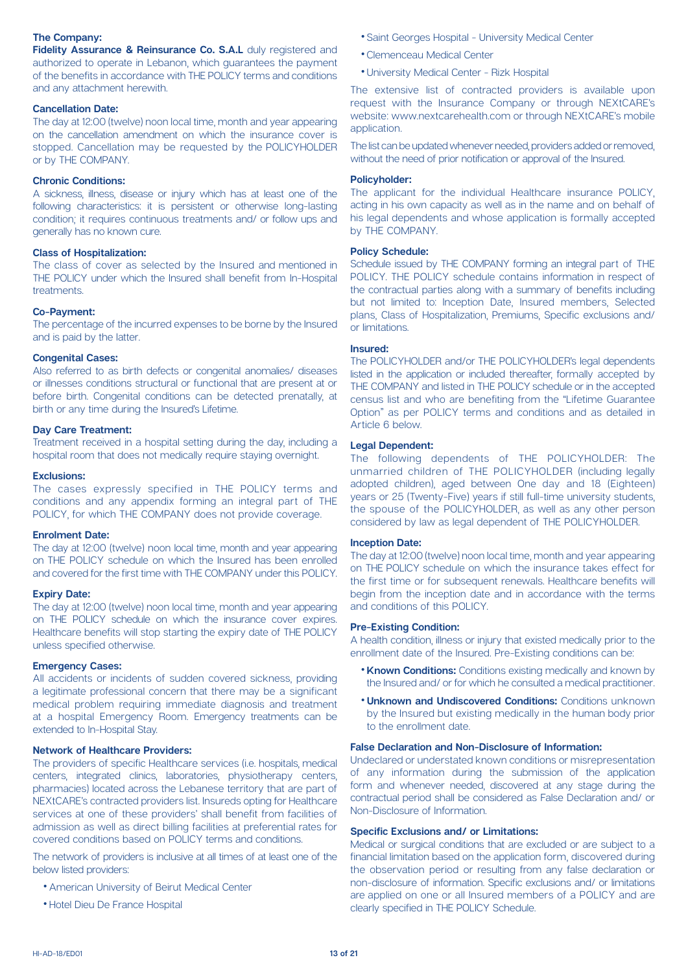### **The Company:**

Fidelity Assurance & Reinsurance Co. S.A.L duly registered and authorized to operate in Lebanon, which quarantees the payment of the benefits in accordance with THE POLICY terms and conditions and any attachment herewith.

### **Cancellation Date:**

The day at 12:00 (twelve) noon local time, month and year appearing on the cancellation amendment on which the insurance cover is stopped. Cancellation may be requested by the POLICYHOLDER or by THE COMPANY.

### **Chronic Conditions:**

A sickness, illness, disease or injury which has at least one of the following characteristics: it is persistent or otherwise long-lasting condition; it requires continuous treatments and/ or follow ups and generally has no known cure.

### **Class of Hospitalization:**

The class of cover as selected by the Insured and mentioned in THE POLICY under which the Insured shall benefit from In-Hospital .treatments

### **Co-Payment:**

The percentage of the incurred expenses to be borne by the Insured and is paid by the latter.

### **Congenital Cases:**

Also referred to as birth defects or congenital anomalies/ diseases or illnesses conditions structural or functional that are present at or before birth. Congenital conditions can be detected prenatally, at birth or any time during the Insured's Lifetime.

#### **Day Care Treatment:**

Treatment received in a hospital setting during the day, including a hospital room that does not medically require staying overnight.

### **:Exclusions**

The cases expressly specified in THE POLICY terms and conditions and any appendix forming an integral part of THE POLICY, for which THE COMPANY does not provide coverage.

### **Enrolment Date:**

The day at 12:00 (twelve) noon local time, month and year appearing on THE POLICY schedule on which the Insured has been enrolled and covered for the first time with THE COMPANY under this POLICY.

### **Expiry Date:**

The day at 12:00 (twelve) noon local time, month and year appearing on THE POLICY schedule on which the insurance cover expires. Healthcare benefits will stop starting the expiry date of THE POLICY unless specified otherwise.

#### **Emergency Cases:**

All accidents or incidents of sudden covered sickness, providing a legitimate professional concern that there may be a significant medical problem requiring immediate diagnosis and treatment at a hospital Emergency Room. Emergency treatments can be extended to In-Hospital Stay.

### **Network of Healthcare Providers:**

The providers of specific Healthcare services (i.e. hospitals, medical centers, integrated clinics, laboratories, physiotherapy centers, pharmacies) located across the Lebanese territory that are part of NEXtCARE's contracted providers list. Insureds opting for Healthcare services at one of these providers' shall benefit from facilities of admission as well as direct billing facilities at preferential rates for covered conditions based on POLICY terms and conditions.

The network of providers is inclusive at all times of at least one of the below listed providers:

- American University of Beirut Medical Center
- Hotel Dieu De France Hospital
- Saint Georges Hospital University Medical Center
- Clemenceau Medical Center
- University Medical Center Rizk Hospital

The extensive list of contracted providers is available upon request with the Insurance Company or through NEXtCARE's website: www.nextcarehealth.com or through NEXtCARE's mobile application.

The list can be updated whenever needed, providers added or removed, without the need of prior notification or approval of the Insured.

### **:Policyholder**

The applicant for the individual Healthcare insurance POLICY, acting in his own capacity as well as in the name and on behalf of his legal dependents and whose application is formally accepted by THE COMPANY.

### **Policy Schedule:**

Schedule issued by THE COMPANY forming an integral part of THE POLICY. THE POLICY schedule contains information in respect of the contractual parties along with a summary of benefits including but not limited to: Inception Date, Insured members, Selected plans, Class of Hospitalization, Premiums, Specific exclusions and/ or limitations

### **:Insured**

The POLICYHOLDER and/or THE POLICYHOLDER's legal dependents listed in the application or included thereafter, formally accepted by THE COMPANY and listed in THE POLICY schedule or in the accepted census list and who are benefiting from the "Lifetime Guarantee" Option" as per POLICY terms and conditions and as detailed in Article 6 below.

### **Legal Dependent:**

The following dependents of THE POLICYHOLDER: The unmarried children of THE POLICYHOLDER (including legally adopted children), aged between One day and 18 (Eighteen) years or 25 (Twenty-Five) years if still full-time university students. the spouse of the POLICYHOLDER, as well as any other person considered by law as legal dependent of THE POLICYHOLDER.

#### **Inception Date:**

The day at 12:00 (twelve) noon local time, month and year appearing on THE POLICY schedule on which the insurance takes effect for the first time or for subsequent renewals. Healthcare benefits will begin from the inception date and in accordance with the terms and conditions of this POLICY.

### **Pre-Existing Condition:**

A health condition, illness or injury that existed medically prior to the enrollment date of the Insured. Pre-Existing conditions can be:

- **Known Conditions:** Conditions existing medically and known by the Insured and/ or for which he consulted a medical practitioner.
- **Unknown and Undiscovered Conditions: Conditions unknown** by the insured but existing medically in the human body prior to the enrollment date.

### **False Declaration and Non-Disclosure of Information:**

Undeclared or understated known conditions or misrepresentation of any information during the submission of the application form and whenever needed, discovered at any stage during the contractual period shall be considered as False Declaration and/ or Non-Disclosure of Information.

### **Specific Exclusions and/ or Limitations:**

Medical or surgical conditions that are excluded or are subject to a financial limitation based on the application form, discovered during the observation period or resulting from any false declaration or hon-disclosure of information. Specific exclusions and/ or limitations are applied on one or all insured members of a POLICY and are clearly specified in THE POLICY Schedule.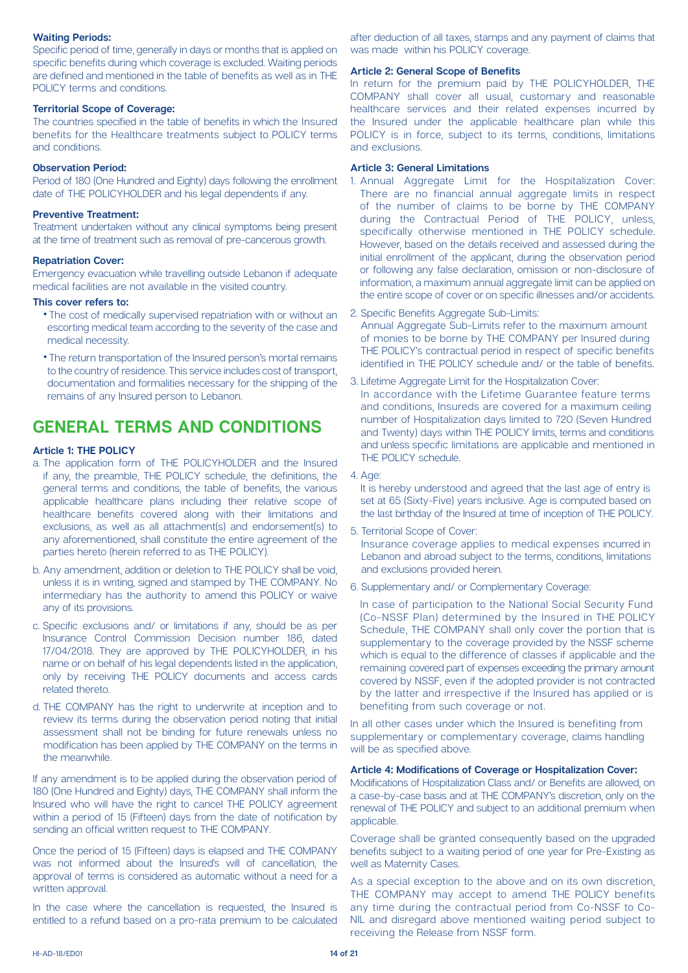### **Waiting Periods:**

Specific period of time, generally in days or months that is applied on specific benefits during which coverage is excluded. Waiting periods are defined and mentioned in the table of benefits as well as in THF POLICY terms and conditions.

### **Territorial Scope of Coverage:**

The countries specified in the table of benefits in which the Insured benefits for the Healthcare treatments subject to POLICY terms and conditions

### **Observation Period:**

Period of 180 (One Hundred and Eighty) days following the enrollment date of THE POLICYHOLDER and his legal dependents if any.

### **Preventive Treatment:**

Treatment undertaken without any clinical symptoms being present at the time of treatment such as removal of pre-cancerous growth.

### **Repatriation Cover:**

Emergency evacuation while travelling outside Lebanon if adequate medical facilities are not available in the visited country.

### This cover refers to:

- The cost of medically supervised repatriation with or without an escorting medical team according to the severity of the case and medical necessity.
- The return transportation of the Insured person's mortal remains to the country of residence. This service includes cost of transport. documentation and formalities necessary for the shipping of the remains of any Insured person to Lebanon.

### **GENERAL TERMS AND CONDITIONS**

### **Article 1: THE POLICY**

- a. The application form of THE POLICYHOLDER and the Insured if any, the preamble, THE POLICY schedule, the definitions, the general terms and conditions, the table of benefits, the various applicable healthcare plans including their relative scope of healthcare benefits covered along with their limitations and exclusions, as well as all attachment(s) and endorsement(s) to any aforementioned, shall constitute the entire agreement of the parties hereto (herein referred to as THE POLICY).
- b. Any amendment, addition or deletion to THE POLICY shall be void. unless it is in writing, signed and stamped by THE COMPANY. No intermediary has the authority to amend this POLICY or waive any of its provisions.
- c. Specific exclusions and/ or limitations if any, should be as per Insurance Control Commission Decision number 186, dated 17/04/2018. They are approved by THE POLICYHOLDER, in his name or on behalf of his legal dependents listed in the application, only by receiving THE POLICY documents and access cards related thereto.
- d. THE COMPANY has the right to underwrite at inception and to review its terms during the observation period noting that initial assessment shall not be binding for future renewals unless no modification has been applied by THE COMPANY on the terms in the meanwhile.

If any amendment is to be applied during the observation period of 180 (One Hundred and Eighty) days. THE COMPANY shall inform the Insured who will have the right to cancel THE POLICY agreement within a period of 15 (Fifteen) days from the date of notification by sending an official written request to THE COMPANY.

Once the period of 15 (Fifteen) days is elapsed and THE COMPANY was not informed about the Insured's will of cancellation, the approval of terms is considered as automatic without a need for a written approval.

In the case where the cancellation is requested, the Insured is entitled to a refund based on a pro-rata premium to be calculated

after deduction of all taxes, stamps and any payment of claims that was made within his POLICY coverage.

### **Article 2: General Scope of Benefits**

In return for the premium paid by THE POLICYHOLDER. THE COMPANY shall cover all usual, customary and reasonable healthcare services and their related expenses incurred by the Insured under the applicable healthcare plan while this POLICY is in force, subject to its terms, conditions, limitations and exclusions

### **Article 3: General Limitations**

- 1. Annual Aggregate Limit for the Hospitalization Cover: There are no financial annual aggregate limits in respect of the number of claims to be borne by THE COMPANY during the Contractual Period of THE POLICY, unless, specifically otherwise mentioned in THE POLICY schedule. However, based on the details received and assessed during the initial enrollment of the applicant, during the observation period or following any false declaration, omission or non-disclosure of information, a maximum annual aggregate limit can be applied on the entire scope of cover or on specific illnesses and/or accidents.
- 2. Specific Benefits Aggregate Sub-Limits:

Annual Aggregate Sub-Limits refer to the maximum amount of monies to be borne by THE COMPANY per Insured during THE POLICY's contractual period in respect of specific benefits identified in THE POLICY schedule and/ or the table of benefits.

- 3. Lifetime Aggregate Limit for the Hospitalization Cover: In accordance with the Lifetime Guarantee feature terms and conditions, Insureds are covered for a maximum ceiling number of Hospitalization days limited to 720 (Seven Hundred and Twenty) days within THE POLICY limits, terms and conditions and unless specific limitations are applicable and mentioned in THE POLICY schedule.
- 4. Age:

It is hereby understood and agreed that the last age of entry is set at 65 (Sixty-Five) years inclusive. Age is computed based on the last birthday of the Insured at time of inception of THE POLICY.

5. Territorial Scope of Cover:

Insurance coverage applies to medical expenses incurred in Lebanon and abroad subject to the terms, conditions, limitations and exclusions provided herein.

6. Supplementary and/ or Complementary Coverage:

In case of participation to the National Social Security Fund (Co-NSSF Plan) determined by the Insured in THE POLICY Schedule, THE COMPANY shall only cover the portion that is supplementary to the coverage provided by the NSSF scheme which is equal to the difference of classes if applicable and the remaining covered part of expenses exceeding the primary amount covered by NSSF, even if the adopted provider is not contracted by the latter and irrespective if the Insured has applied or is benefiting from such coverage or not.

In all other cases under which the Insured is benefiting from supplementary or complementary coverage, claims handling will be as specified above.

### **Article 4: Modifications of Coverage or Hospitalization Cover:**

Modifications of Hospitalization Class and/ or Benefits are allowed, on a case-by-case basis and at THE COMPANY's discretion, only on the renewal of THE POLICY and subject to an additional premium when .applicable

Coverage shall be granted consequently based on the upgraded benefits subject to a waiting period of one year for Pre-Existing as well as Maternity Cases.

As a special exception to the above and on its own discretion. THE COMPANY may accept to amend THE POLICY benefits NIL and disregard above mentioned waiting period subject to any time during the contractual period from Co-NSSF to Coreceiving the Release from NSSF form.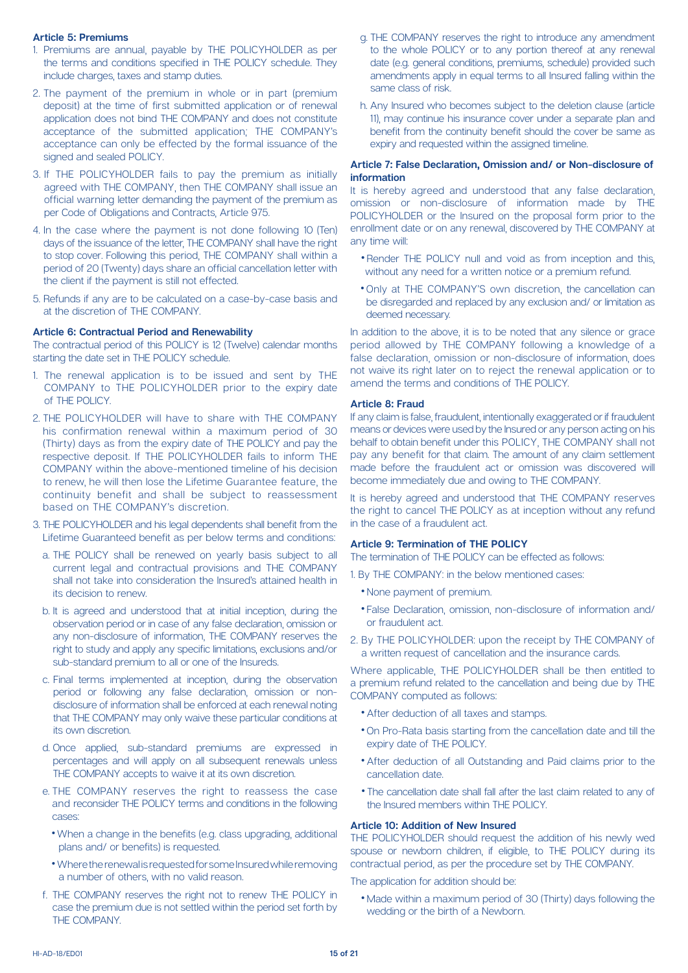### **Premiums 5: Article**

- 1. Premiums are annual, payable by THE POLICYHOLDER as per the terms and conditions specified in THE POLICY schedule. They include charges, taxes and stamp duties.
- 2. The payment of the premium in whole or in part (premium deposit) at the time of first submitted application or of renewal application does not bind THE COMPANY and does not constitute acceptance of the submitted application; THE COMPANY's acceptance can only be effected by the formal issuance of the signed and sealed POLICY.
- 3. If THE POLICYHOLDER fails to pay the premium as initially agreed with THE COMPANY, then THE COMPANY shall issue an official warning letter demanding the payment of the premium as per Code of Obligations and Contracts, Article 975.
- 4. In the case where the payment is not done following 10 (Ten) days of the issuance of the letter, THE COMPANY shall have the right to stop cover. Following this period, THE COMPANY shall within a period of 20 (Twenty) days share an official cancellation letter with the client if the payment is still not effected.
- 5. Refunds if any are to be calculated on a case-by-case basis and at the discretion of THE COMPANY.

### **Article 6: Contractual Period and Renewability**

The contractual period of this POLICY is 12 (Twelve) calendar months starting the date set in THE POLICY schedule.

- 1. The renewal application is to be issued and sent by THE COMPANY to THE POLICYHOLDER prior to the expiry date of THE POLICY
- 2. THE POLICYHOLDER will have to share with THE COMPANY his confirmation renewal within a maximum period of 30 (Thirty) days as from the expiry date of THE POLICY and pay the respective deposit. If THE POLICYHOLDER fails to inform THE COMPANY within the above-mentioned timeline of his decision to renew, he will then lose the Lifetime Guarantee feature, the continuity benefit and shall be subject to reassessment based on THE COMPANY's discretion.
- 3. THE POLICYHOLDER and his legal dependents shall benefit from the Lifetime Guaranteed benefit as per below terms and conditions:
	- a. THE POLICY shall be renewed on yearly basis subject to all current legal and contractual provisions and THE COMPANY shall not take into consideration the Insured's attained health in its decision to renew.
	- b. It is agreed and understood that at initial inception, during the observation period or in case of any false declaration, omission or any non-disclosure of information, THE COMPANY reserves the right to study and apply any specific limitations, exclusions and/or sub-standard premium to all or one of the Insureds.
	- c. Final terms implemented at inception, during the observation disclosure of information shall be enforced at each renewal noting period or following any false declaration, omission or nonthat THE COMPANY may only waive these particular conditions at its own discretion.
	- d. Once applied, sub-standard premiums are expressed in percentages and will apply on all subsequent renewals unless THE COMPANY accepts to waive it at its own discretion.
	- e. THE COMPANY reserves the right to reassess the case and reconsider THE POLICY terms and conditions in the following :cases
		- When a change in the benefits (e.g. class upgrading, additional plans and/ or benefits) is requested.
		- Where the renewal is requested for some Insured while removing a number of others, with no valid reason.
	- f. THE COMPANY reserves the right not to renew THE POLICY in case the premium due is not settled within the period set forth by THE COMPANY
- g. THE COMPANY reserves the right to introduce any amendment to the whole POLICY or to any portion thereof at any renewal date (e.g. general conditions, premiums, schedule) provided such amendments apply in equal terms to all insured falling within the same class of risk.
- h. Any Insured who becomes subject to the deletion clause (article 11), may continue his insurance cover under a separate plan and benefit from the continuity benefit should the cover be same as expiry and requested within the assigned timeline.

### **Article 7: False Declaration, Omission and/ or Non-disclosure of information**

It is hereby agreed and understood that any false declaration, omission or non-disclosure of information made by THE POLICYHOLDER or the Insured on the proposal form prior to the enrollment date or on any renewal, discovered by THE COMPANY at any time will:

- Render THE POLICY null and void as from inception and this, without any need for a written notice or a premium refund.
- Only at THE COMPANY'S own discretion the cancellation can be disregarded and replaced by any exclusion and/ or limitation as deemed necessary.

In addition to the above, it is to be noted that any silence or grace period allowed by THE COMPANY following a knowledge of a false declaration, omission or non-disclosure of information, does not waive its right later on to reject the renewal application or to amend the terms and conditions of THE POLICY.

### **Article 8: Fraud**

If any claim is false, fraudulent, intentionally exaggerated or if fraudulent means or devices were used by the Insured or any person acting on his behalf to obtain benefit under this POLICY, THE COMPANY shall not pay any benefit for that claim. The amount of any claim settlement made before the fraudulent act or omission was discovered will become immediately due and owing to THE COMPANY.

It is hereby agreed and understood that THE COMPANY reserves the right to cancel THE POLICY as at inception without any refund in the case of a fraudulent act.

#### **Article 9: Termination of THE POLICY**

The termination of THE POLICY can be effected as follows:

- 1. By THE COMPANY: in the below mentioned cases:
	- None payment of premium.
	- False Declaration, omission, non-disclosure of information and/ or fraudulent act.
- 2. By THE POLICYHOLDER: upon the receipt by THE COMPANY of a written request of cancellation and the insurance cards

Where applicable, THE POLICYHOLDER shall be then entitled to a premium refund related to the cancellation and being due by THE COMPANY computed as follows:

- After deduction of all taxes and stamps.
- On Pro-Rata basis starting from the cancellation date and till the expiry date of THE POLICY.
- After deduction of all Outstanding and Paid claims prior to the cancellation date.
- The cancellation date shall fall after the last claim related to any of the Insured members within THE POLICY.

### **Article 10: Addition of New Insured**

THE POLICYHOLDER should request the addition of his newly wed snouse or newborn children, if eligible, to THE POLICY during its contractual period, as per the procedure set by THE COMPANY.

The application for addition should be:

• Made within a maximum period of 30 (Thirty) days following the wedding or the birth of a Newborn.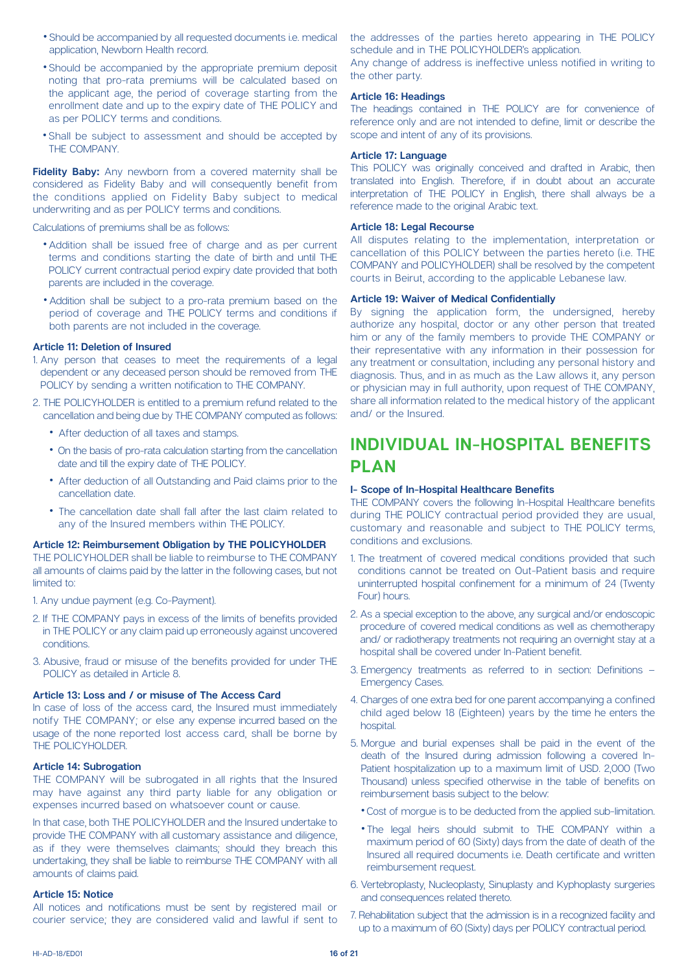- Should be accompanied by all requested documents i.e. medical application, Newborn Health record.
- Should be accompanied by the appropriate premium deposit noting that pro-rata premiums will be calculated based on the applicant age, the period of coverage starting from the enrollment date and up to the expiry date of THE POLICY and as per POLICY terms and conditions.
- Shall be subject to assessment and should be accepted by THE COMPANY.

Fidelity Baby: Any newborn from a covered maternity shall be considered as Fidelity Baby and will consequently benefit from the conditions applied on Fidelity Baby subject to medical underwriting and as per POLICY terms and conditions.

Calculations of premiums shall be as follows:

- Addition shall be issued free of charge and as per current terms and conditions starting the date of birth and until THE POLICY current contractual period expiry date provided that both parents are included in the coverage.
- Addition shall be subject to a pro-rata premium based on the period of coverage and THE POLICY terms and conditions if both parents are not included in the coverage.

### **Article 11: Deletion of Insured**

- 1. Any person that ceases to meet the requirements of a legal dependent or any deceased person should be removed from THE POLICY by sending a written notification to THE COMPANY.
- 2. THE POLICYHOLDER is entitled to a premium refund related to the cancellation and being due by THE COMPANY computed as follows:
	- After deduction of all taxes and stamps.
	- On the basis of pro-rata calculation starting from the cancellation date and till the expiry date of THE POLICY.
	- After deduction of all Outstanding and Paid claims prior to the cancellation date
	- The cancellation date shall fall after the last claim related to any of the Insured members within THE POLICY.

#### **Article 12: Reimbursement Obligation by THE POLICYHOLDER**

THE POLICYHOLDER shall be liable to reimburse to THE COMPANY all amounts of claims paid by the latter in the following cases, but not limited to:

1. Any undue payment (e.g. Co-Payment).

- 2. If THE COMPANY pays in excess of the limits of benefits provided in THE POLICY or any claim paid up erroneously against uncovered .conditions
- 3. Abusive, fraud or misuse of the benefits provided for under THE POLICY as detailed in Article 8.

#### Article 13: Loss and / or misuse of The Access Card

In case of loss of the access card, the Insured must immediately notify THE COMPANY; or else any expense incurred based on the usage of the none reported lost access card, shall be borne by THE POLICYHOLDER.

#### **Article 14: Subrogation**

THE COMPANY will be subrogated in all rights that the Insured may have against any third party liable for any obligation or expenses incurred based on whatsoever count or cause

In that case, both THE POLICYHOLDER and the Insured undertake to provide THE COMPANY with all customary assistance and diligence, as if they were themselves claimants; should they breach this undertaking, they shall be liable to reimburse THE COMPANY with all amounts of claims paid.

#### **Notice 15: Article**

All notices and notifications must be sent by registered mail or courier service; they are considered valid and lawful if sent to the addresses of the parties hereto appearing in THE POLICY schedule and in THE POLICYHOLDER's application.

Any change of address is ineffective unless notified in writing to the other party.

### **Article 16: Headings**

The headings contained in THE POLICY are for convenience of reference only and are not intended to define, limit or describe the scope and intent of any of its provisions.

### **Language 17: Article**

This POLICY was originally conceived and drafted in Arabic, then translated into English. Therefore, if in doubt about an accurate interpretation of THE POLICY in English, there shall always be a reference made to the original Arabic text.

### **Article 18: Legal Recourse**

All disputes relating to the implementation, interpretation or cancellation of this POLICY between the parties hereto (i.e. THE COMPANY and POLICYHOLDER) shall be resolved by the competent courts in Beirut, according to the applicable Lebanese law.

### **Article 19: Waiver of Medical Confidentially**

By signing the application form, the undersigned, hereby authorize any hospital, doctor or any other person that treated him or any of the family members to provide THE COMPANY or their representative with any information in their possession for any treatment or consultation, including any personal history and diagnosis. Thus, and in as much as the Law allows it, any person or physician may in full authority, upon request of THE COMPANY, share all information related to the medical history of the applicant and/ or the Insured

### **INDIVIDUAL IN-HOSPITAL BENEFITS PLAN**

#### **I- Scope of In-Hospital Healthcare Benefits**

THE COMPANY covers the following In-Hospital Healthcare benefits during THE POLICY contractual period provided they are usual. customary and reasonable and subject to THE POLICY terms, .exclusions and conditions

- 1. The treatment of covered medical conditions provided that such conditions cannot be treated on Out-Patient basis and require uninterrupted hospital confinement for a minimum of 24 (Twenty Four) hours.
- 2. As a special exception to the above, any surgical and/or endoscopic procedure of covered medical conditions as well as chemotherapy and/ or radiotherapy treatments not requiring an overnight stay at a hospital shall be covered under In-Patient benefit.
- 3. Emergency treatments as referred to in section: Definitions  $-$ **Emergency Cases.**
- 4. Charges of one extra bed for one parent accompanying a confined child aged below 18 (Eighteen) years by the time he enters the hospital.
- 5. Morque and burial expenses shall be paid in the event of the Patient hospitalization up to a maximum limit of USD, 2,000 (Two death of the Insured during admission following a covered In-Thousand) unless specified otherwise in the table of benefits on reimbursement basis subject to the below:
	- . Cost of morgue is to be deducted from the applied sub-limitation.
	- . The legal heirs should submit to THE COMPANY within a maximum period of 60 (Sixty) days from the date of death of the Insured all required documents i.e. Death certificate and written reimbursement request.
- 6. Vertebroplasty, Nucleoplasty, Sinuplasty and Kyphoplasty surgeries and consequences related thereto.
- 7. Rehabilitation subject that the admission is in a recognized facility and up to a maximum of 60 (Sixty) days per POLICY contractual period.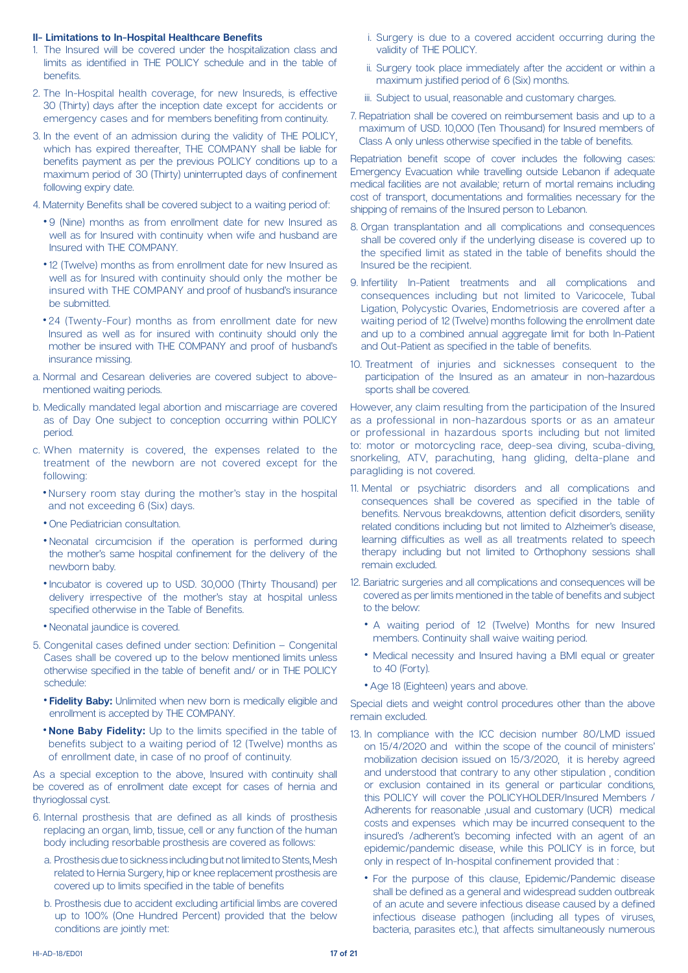### **II- Limitations to In-Hospital Healthcare Benefits**

- 1. The Insured will be covered under the hospitalization class and limits as identified in THE POLICY schedule and in the table of .benefits
- 2. The In-Hospital health coverage, for new Insureds, is effective 30 (Thirty) days after the inception date except for accidents or emergency cases and for members benefiting from continuity.
- 3. In the event of an admission during the validity of THE POLICY. which has expired thereafter. THE COMPANY shall be liable for benefits payment as per the previous POLICY conditions up to a maximum period of 30 (Thirty) uninterrupted days of confinement following expiry date.
- 4. Maternity Benefits shall be covered subject to a waiting period of:
	- 9 (Nine) months as from enrollment date for new Insured as well as for Insured with continuity when wife and husband are Insured with THE COMPANY.
	- 12 (Twelve) months as from enrollment date for new Insured as well as for Insured with continuity should only the mother be insured with THE COMPANY and proof of husband's insurance be submitted.
	- 24 (Twenty-Four) months as from enrollment date for new Insured as well as for insured with continuity should only the mother be insured with THE COMPANY and proof of husband's insurance missing
- a. Normal and Cesarean deliveries are covered subject to above-<br>mentioned waiting periods.
- b. Medically mandated legal abortion and miscarriage are covered as of Day One subject to conception occurring within POLICY .period
- c. When maternity is covered, the expenses related to the treatment of the newborn are not covered except for the :following
	- Nursery room stay during the mother's stay in the hospital and not exceeding 6 (Six) days.
	- One Pediatrician consultation.
	- Neonatal circumcision if the operation is performed during the mother's same hospital confinement for the delivery of the newborn baby.
	- Incubator is covered up to USD. 30,000 (Thirty Thousand) per delivery irrespective of the mother's stay at hospital unless specified otherwise in the Table of Benefits.
	- Neonatal iaundice is covered.
- 5. Congenital cases defined under section: Definition  $-$  Congenital Cases shall be covered up to the below mentioned limits unless otherwise specified in the table of benefit and/ or in THE POLICY :schedule
	- **Fidelity Baby:** Unlimited when new born is medically eligible and enrollment is accepted by THE COMPANY.
	- **. None Baby Fidelity:** Up to the limits specified in the table of benefits subject to a waiting period of 12 (Twelve) months as of enrollment date, in case of no proof of continuity.

As a special exception to the above, Insured with continuity shall be covered as of enrollment date except for cases of hernia and thyrioglossal cyst.

- 6. Internal prosthesis that are defined as all kinds of prosthesis replacing an organ, limb, tissue, cell or any function of the human body including resorbable prosthesis are covered as follows:
	- a. Prosthesis due to sickness including but not limited to Stents. Mesh related to Hernia Surgery, hip or knee replacement prosthesis are covered up to limits specified in the table of benefits
	- b. Prosthesis due to accident excluding artificial limbs are covered up to 100% (One Hundred Percent) provided that the below conditions are jointly met:
- i. Surgery is due to a covered accident occurring during the validity of THE POLICY.
- ii. Surgery took place immediately after the accident or within a maximum justified period of 6 (Six) months.
- iii. Subject to usual reasonable and customary charges
- 7. Repatriation shall be covered on reimbursement basis and up to a maximum of USD. 10,000 (Ten Thousand) for Insured members of Class A only unless otherwise specified in the table of benefits.

Repatriation benefit scope of cover includes the following cases: Emergency Evacuation while travelling outside Lebanon if adequate medical facilities are not available; return of mortal remains including cost of transport, documentations and formalities necessary for the shipping of remains of the Insured person to Lebanon.

- 8. Organ transplantation and all complications and consequences shall be covered only if the underlying disease is covered up to the specified limit as stated in the table of benefits should the Insured be the recipient.
- 9. Infertility In-Patient treatments and all complications and consequences including but not limited to Varicocele, Tubal Ligation, Polycystic Ovaries, Endometriosis are covered after a waiting period of 12 (Twelve) months following the enrollment date and up to a combined annual aggregate limit for both In-Patient and Out-Patient as specified in the table of benefits.
- 10. Treatment of injuries and sicknesses consequent to the participation of the Insured as an amateur in non-hazardous sports shall be covered.

However, any claim resulting from the participation of the Insured as a professional in non-hazardous sports or as an amateur or professional in hazardous sports including but not limited to: motor or motorcycling race, deep-sea diving, scuba-diving, snorkeling, ATV, parachuting, hang gliding, delta-plane and paragliding is not covered.

- 11. Mental or psychiatric disorders and all complications and consequences shall be covered as specified in the table of benefits. Nervous breakdowns, attention deficit disorders, senility related conditions including but not limited to Alzheimer's disease, learning difficulties as well as all treatments related to speech therapy including but not limited to Orthophony sessions shall remain excluded.
- 12. Bariatric surgeries and all complications and consequences will be covered as per limits mentioned in the table of benefits and subject to the below:
	- A waiting period of 12 (Twelve) Months for new Insured members. Continuity shall waive waiting period.
	- Medical necessity and Insured having a BMI equal or greater to 40 (Forty).
	- Age 18 (Eighteen) years and above.

Special diets and weight control procedures other than the above remain excluded.

- 13. In compliance with the ICC decision number 80/LMD issued on 15/4/2020 and within the scope of the council of ministers' mobilization decision issued on 15/3/2020, it is hereby agreed and understood that contrary to any other stipulation, condition or exclusion contained in its general or particular conditions. this POLICY will cover the POLICYHOLDER/Insured Members / Adherents for reasonable , usual and customary (UCR) medical costs and expenses which may be incurred consequent to the insured's /adherent's becoming infected with an agent of an epidemic/pandemic disease, while this POLICY is in force, but only in respect of In-hospital confinement provided that:
	- For the purpose of this clause, Epidemic/Pandemic disease shall be defined as a general and widespread sudden outbreak of an acute and severe infectious disease caused by a defined infectious disease pathogen (including all types of viruses, bacteria, parasites etc.), that affects simultaneously numerous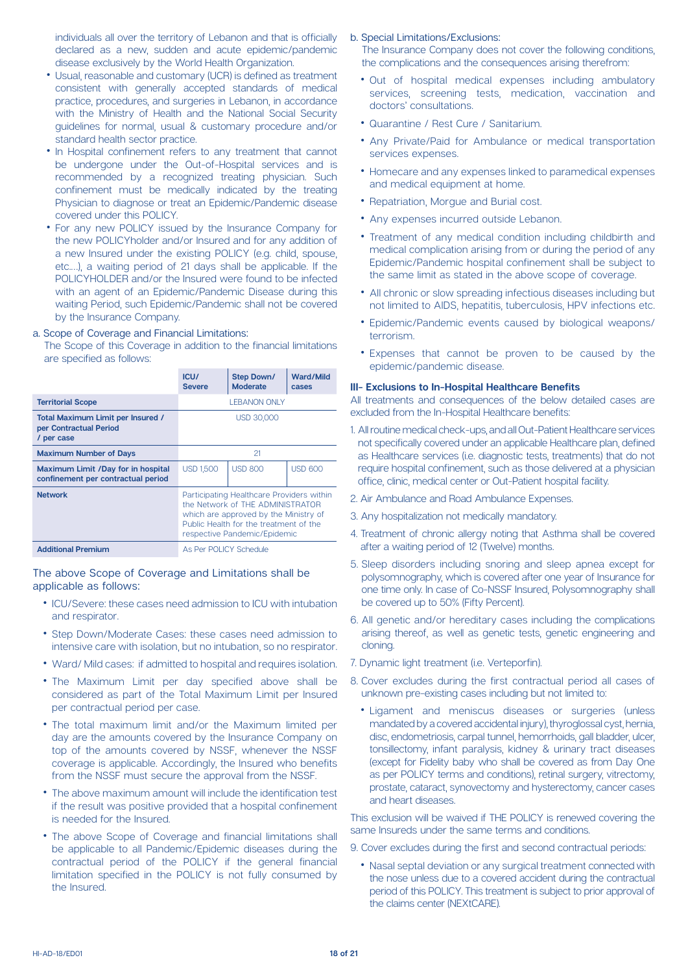individuals all over the territory of Lebanon and that is officially declared as a new, sudden and acute epidemic/pandemic disease exclusively by the World Health Organization.

- Usual, reasonable and customary (UCR) is defined as treatment consistent with generally accepted standards of medical practice, procedures, and surgeries in Lebanon, in accordance with the Ministry of Health and the National Social Security quidelines for normal, usual & customary procedure and/or standard health sector practice.
- In Hospital confinement refers to any treatment that cannot be undergone under the Out-of-Hospital services and is recommended by a recognized treating physician. Such confinement must be medically indicated by the treating Physician to diagnose or treat an Epidemic/Pandemic disease covered under this POLICY.
- For any new POLICY issued by the Insurance Company for the new POLICYholder and/or Insured and for any addition of a new Insured under the existing POLICY (e.g. child, spouse, etc....), a waiting period of 21 days shall be applicable. If the POLICYHOLDER and/or the Insured were found to be infected with an agent of an Epidemic/Pandemic Disease during this waiting Period, such Epidemic/Pandemic shall not be covered by the Insurance Company.

### a. Scope of Coverage and Financial Limitations:

The Scope of this Coverage in addition to the financial limitations are specified as follows:

|                                                                           | ICU/<br><b>Severe</b>                                                                                                                                                                            | <b>Step Down/</b><br><b>Moderate</b> | <b>Ward/Mild</b><br>cases |
|---------------------------------------------------------------------------|--------------------------------------------------------------------------------------------------------------------------------------------------------------------------------------------------|--------------------------------------|---------------------------|
| <b>Territorial Scope</b>                                                  | <b>I FBANON ONLY</b>                                                                                                                                                                             |                                      |                           |
| Total Maximum Limit per Insured /<br>per Contractual Period<br>/ per case | USD 30,000                                                                                                                                                                                       |                                      |                           |
| <b>Maximum Number of Days</b>                                             | 21                                                                                                                                                                                               |                                      |                           |
| Maximum Limit /Day for in hospital<br>confinement per contractual period  | <b>USD 1,500</b>                                                                                                                                                                                 | <b>USD 800</b>                       | <b>USD 600</b>            |
| <b>Network</b>                                                            | Participating Healthcare Providers within<br>the Network of THF ADMINISTRATOR<br>which are approved by the Ministry of<br>Public Health for the treatment of the<br>respective Pandemic/Epidemic |                                      |                           |
| <b>Additional Premium</b>                                                 | As Per POLICY Schedule                                                                                                                                                                           |                                      |                           |

The above Scope of Coverage and Limitations shall be applicable as follows:

- ICU/Severe: these cases need admission to ICU with intubation and respirator.
- Step Down/Moderate Cases: these cases need admission to intensive care with isolation, but no intubation, so no respirator.
- Ward/ Mild cases: if admitted to hospital and requires isolation.
- The Maximum Limit per day specified above shall be considered as part of the Total Maximum Limit per Insured per contractual period per case.
- The total maximum limit and/or the Maximum limited per day are the amounts covered by the Insurance Company on top of the amounts covered by NSSF, whenever the NSSF coverage is applicable. Accordingly, the Insured who benefits from the NSSF must secure the approval from the NSSF.
- The above maximum amount will include the identification test if the result was positive provided that a hospital confinement is needed for the Insured.
- The above Scope of Coverage and financial limitations shall be applicable to all Pandemic/Epidemic diseases during the contractual period of the POLICY if the general financial limitation specified in the POLICY is not fully consumed by the Insured

### b. Special Limitations/Exclusions:

The Insurance Company does not cover the following conditions, the complications and the consequences arising therefrom:

- Out of hospital medical expenses including ambulatory services, screening tests, medication, vaccination and doctors' consultations.
- Quarantine / Rest Cure / Sanitarium.
- Any Private/Paid for Ambulance or medical transportation services expenses.
- Homecare and any expenses linked to paramedical expenses and medical equipment at home.
- Repatriation, Morque and Burial cost.
- Any expenses incurred outside Lebanon.
- Treatment of any medical condition including childbirth and medical complication arising from or during the period of any Epidemic/Pandemic hospital confinement shall be subject to the same limit as stated in the above scope of coverage.
- All chronic or slow spreading infectious diseases including but not limited to AIDS, hepatitis, tuberculosis, HPV infections etc.
- Epidemic/Pandemic events caused by biological weapons/ terrorism.
- Expenses that cannot be proven to be caused by the epidemic/pandemic disease.

### **III- Exclusions to In-Hospital Healthcare Benefits**

All treatments and consequences of the below detailed cases are excluded from the In-Hospital Healthcare benefits:

- 1. All routine medical check-ups, and all Out-Patient Healthcare services not specifically covered under an applicable Healthcare plan, defined as Healthcare services (i.e. diagnostic tests, treatments) that do not require hospital confinement, such as those delivered at a physician office, clinic, medical center or Out-Patient hospital facility.
- 2. Air Ambulance and Road Ambulance Expenses.
- 3. Any hospitalization not medically mandatory.
- 4. Treatment of chronic allergy noting that Asthma shall be covered after a waiting period of 12 (Twelve) months.
- 5. Sleep disorders including snoring and sleep apnea except for polysomnography, which is covered after one year of Insurance for one time only. In case of Co-NSSF Insured, Polysomnography shall be covered up to 50% (Fifty Percent).
- 6. All genetic and/or hereditary cases including the complications arising thereof, as well as genetic tests, genetic engineering and .cloning
- 7. Dynamic light treatment (i.e. Verteporfin).
- 8. Cover excludes during the first contractual period all cases of unknown pre-existing cases including but not limited to:
- Ligament and meniscus diseases or surgeries (unless mandated by a covered accidental injury), thyroglossal cyst, hernia, disc, endometriosis, carpal tunnel, hemorrhoids, gall bladder, ulcer, tonsillectomy, infant paralysis, kidney & urinary tract diseases (except for Fidelity baby who shall be covered as from Day One as per POLICY terms and conditions), retinal surgery, vitrectomy, prostate, cataract, synovectomy and hysterectomy, cancer cases and heart diseases.

This exclusion will be waived if THE POLICY is renewed covering the same Insureds under the same terms and conditions.

- 9. Cover excludes during the first and second contractual periods:
- Nasal septal deviation or any surgical treatment connected with the nose unless due to a covered accident during the contractual period of this POLICY. This treatment is subject to prior approval of the claims center (NEXtCARE).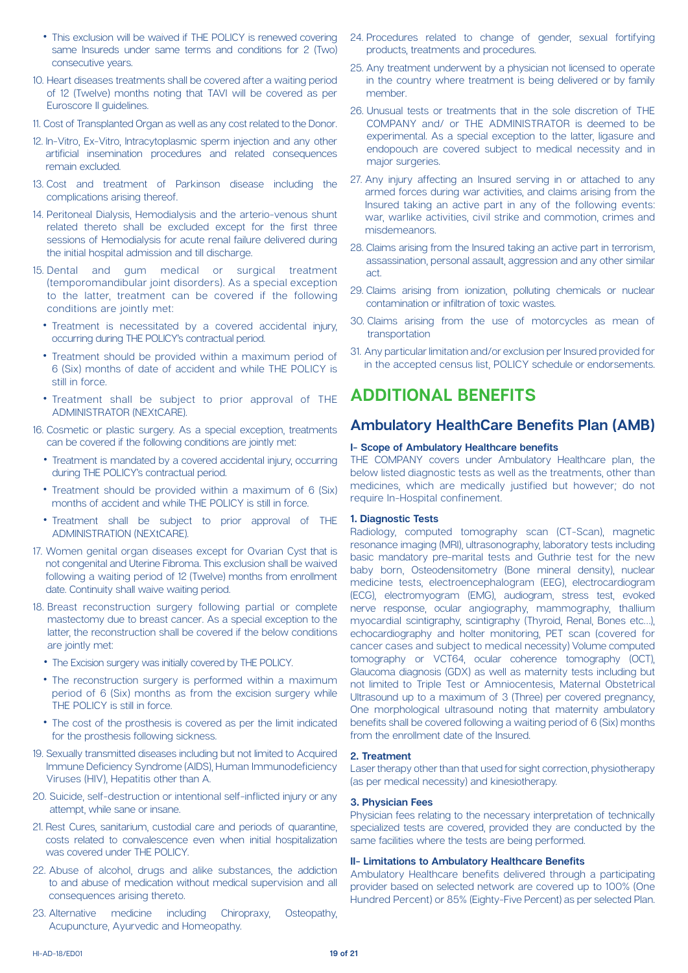- This exclusion will be waived if THE POLICY is renewed covering same Insureds under same terms and conditions for 2 (Two) consecutive years.
- 10. Heart diseases treatments shall be covered after a waiting period of 12 (Twelve) months noting that TAVI will be covered as per Euroscore II quidelines.
- 11. Cost of Transplanted Organ as well as any cost related to the Donor.
- 12. In-Vitro, Ex-Vitro, Intracytoplasmic sperm injection and any other artificial insemination procedures and related consequences remain excluded.
- 13. Cost and treatment of Parkinson disease including the complications arising thereof.
- 14. Peritoneal Dialysis, Hemodialysis and the arterio-venous shunt related thereto shall be excluded except for the first three sessions of Hemodialysis for acute renal failure delivered during the initial hospital admission and till discharge.
- 15. Dental and gum medical or surgical treatment (temporomandibular joint disorders). As a special exception to the latter, treatment can be covered if the following conditions are jointly met:
	- Treatment is necessitated by a covered accidental injury, occurring during THE POLICY's contractual period.
	- Treatment should be provided within a maximum period of 6 (Six) months of date of accident and while THE POLICY is still in force.
	- Treatment shall be subject to prior approval of THE ADMINISTRATOR (NEXtCARE).
- 16. Cosmetic or plastic surgery. As a special exception, treatments can be covered if the following conditions are jointly met:
	- Treatment is mandated by a covered accidental injury, occurring during THE POLICY's contractual period.
	- Treatment should be provided within a maximum of 6 (Six) months of accident and while THE POLICY is still in force.
	- Treatment shall be subject to prior approval of THE ADMINISTRATION (NEXtCARE).
- 17. Women genital organ diseases except for Ovarian Cyst that is not congenital and Uterine Fibroma. This exclusion shall be waived following a waiting period of 12 (Twelve) months from enrollment date. Continuity shall waive waiting period.
- 18. Breast reconstruction surgery following partial or complete mastectomy due to breast cancer. As a special exception to the latter, the reconstruction shall be covered if the below conditions are jointly met:
	- The Excision surgery was initially covered by THE POLICY.
	- The reconstruction surgery is performed within a maximum period of 6 (Six) months as from the excision surgery while THE POLICY is still in force.
	- The cost of the prosthesis is covered as per the limit indicated for the prosthesis following sickness.
- 19. Sexually transmitted diseases including but not limited to Acquired Immune Deficiency Syndrome (AIDS), Human Immunodeficiency Viruses (HIV). Hepatitis other than A.
- 20. Suicide, self-destruction or intentional self-inflicted injury or any attempt, while sane or insane.
- 21. Rest Cures, sanitarium, custodial care and periods of quarantine, costs related to convalescence even when initial hospitalization was covered under THE POLICY.
- 22. Abuse of alcohol, drugs and alike substances, the addiction to and abuse of medication without medical supervision and all consequences arising thereto.
- 23. Alternative medicine including Chiropraxy, Osteopathy, Acupuncture, Ayurvedic and Homeopathy.
- 24. Procedures related to change of gender, sexual fortifying products, treatments and procedures.
- 25. Any treatment underwent by a physician not licensed to operate in the country where treatment is being delivered or by family member.
- 26. Unusual tests or treatments that in the sole discretion of THE COMPANY and/ or THE ADMINISTRATOR is deemed to be experimental. As a special exception to the latter, ligasure and endopouch are covered subject to medical necessity and in major surgeries.
- 27. Any injury affecting an Insured serving in or attached to any armed forces during war activities, and claims arising from the Insured taking an active part in any of the following events: war, warlike activities, civil strike and commotion, crimes and misdemeanors.
- 28. Claims arising from the Insured taking an active part in terrorism. assassination, personal assault, aggression and any other similar .act
- 29. Claims arising from ionization, polluting chemicals or nuclear contamination or infiltration of toxic wastes.
- 30. Claims arising from the use of motorcycles as mean of transportation
- 31. Any particular limitation and/or exclusion per Insured provided for in the accepted census list, POLICY schedule or endorsements.

### **ADDITIONAL BENEFITS**

### **Ambulatory HealthCare Benefits Plan (AMB)**

### **belief Scope of Ambulatory Healthcare benefits**

THE COMPANY covers under Ambulatory Healthcare plan, the below listed diagnostic tests as well as the treatments, other than medicines, which are medically justified but however; do not require In-Hospital confinement.

### **1. Diagnostic Tests**

Radiology, computed tomography scan (CT-Scan), magnetic resonance imaging (MRI), ultrasonography, laboratory tests including basic mandatory pre-marital tests and Guthrie test for the new baby born, Osteodensitometry (Bone mineral density), nuclear medicine tests, electroencephalogram (EEG), electrocardiogram (ECG), electromyogram (EMG), audiogram, stress test, evoked nerve response, ocular angiography, mammography, thallium myocardial scintigraphy, scintigraphy (Thyroid, Renal, Bones etc...), echocardiography and holter monitoring, PET scan (covered for cancer cases and subject to medical necessity) Volume computed tomography or VCT64, ocular coherence tomography (OCT). Glaucoma diagnosis (GDX) as well as maternity tests including but not limited to Triple Test or Amniocentesis. Maternal Obstetrical Ultrasound up to a maximum of 3 (Three) per covered pregnancy. One morphological ultrasound noting that maternity ambulatory benefits shall be covered following a waiting period of 6 (Six) months from the enrollment date of the Insured.

### **Treatment 2.**

Laser therapy other than that used for sight correction, physiotherapy (as per medical necessity) and kinesiotherapy.

### **3. Physician Fees**

Physician fees relating to the necessary interpretation of technically specialized tests are covered, provided they are conducted by the same facilities where the tests are being performed.

#### **II- Limitations to Ambulatory Healthcare Benefits**

Ambulatory Healthcare benefits delivered through a participating provider based on selected network are covered up to 100% (One Hundred Percent) or 85% (Eighty-Five Percent) as per selected Plan.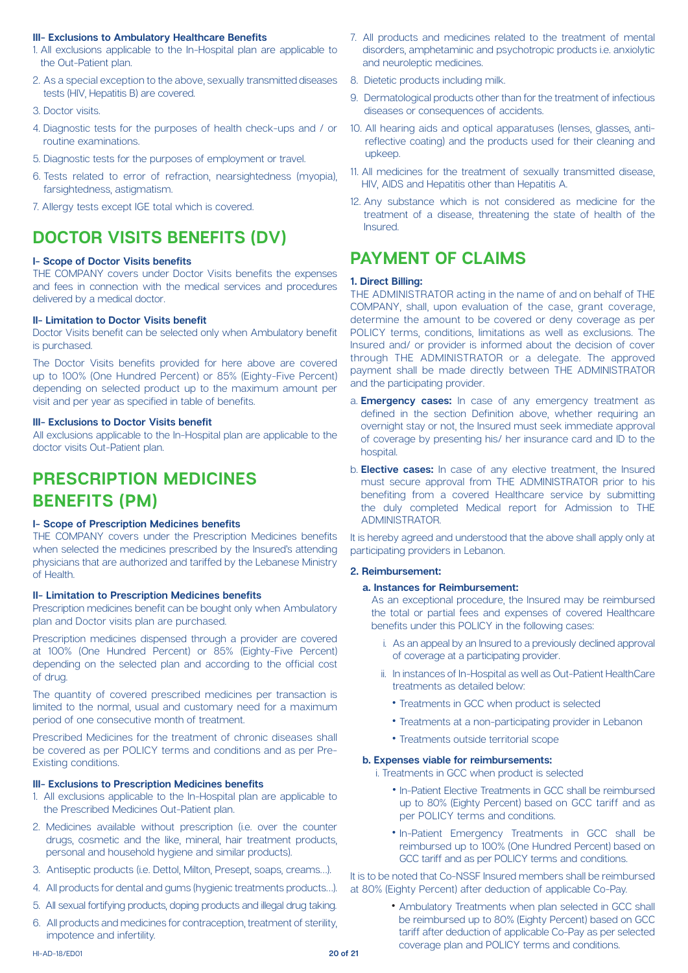### **III- Exclusions to Ambulatory Healthcare Benefits**

- 1. All exclusions applicable to the In-Hospital plan are applicable to the Out-Patient plan.
- 2. As a special exception to the above, sexually transmitted diseases tests (HIV, Hepatitis B) are covered.
- 3. Doctor visits
- 4. Diagnostic tests for the purposes of health check-ups and / or routine examinations.
- 5. Diagnostic tests for the purposes of employment or travel.
- 6. Tests related to error of refraction, nearsightedness (myopia), farsightedness, astigmatism.
- 7. Allergy tests except IGE total which is covered.

### **DOCTOR VISITS BENEFITS (DV)**

### **benefits benefits**

THE COMPANY covers under Doctor Visits benefits the expenses and fees in connection with the medical services and procedures delivered by a medical doctor.

### **II- Limitation to Doctor Visits benefit**

Doctor Visits benefit can be selected only when Ambulatory benefit is purchased.

The Doctor Visits benefits provided for here above are covered up to 100% (One Hundred Percent) or 85% (Eighty-Five Percent) depending on selected product up to the maximum amount per visit and per vear as specified in table of benefits.

### **III- Exclusions to Doctor Visits benefit**

All exclusions applicable to the In-Hospital plan are applicable to the doctor visits Out-Patient plan.

### **PRESCRIPTION MEDICINES BENEFITS** (PM)

### **belief Scope of Prescription Medicines benefits**

THE COMPANY covers under the Prescription Medicines benefits when selected the medicines prescribed by the Insured's attending physicians that are authorized and tariffed by the Lebanese Ministry of Health.

### **II- Limitation to Prescription Medicines benefits**

Prescription medicines benefit can be bought only when Ambulatory plan and Doctor visits plan are purchased.

Prescription medicines dispensed through a provider are covered at 100% (One Hundred Percent) or 85% (Eighty-Five Percent) depending on the selected plan and according to the official cost of drug.

The quantity of covered prescribed medicines per transaction is limited to the normal, usual and customary need for a maximum period of one consecutive month of treatment.

Prescribed Medicines for the treatment of chronic diseases shall be covered as per POLICY terms and conditions and as per Pre-<br>Existing conditions.

### **III- Exclusions to Prescription Medicines benefits**

- 1. All exclusions applicable to the In-Hospital plan are applicable to the Prescribed Medicines Out-Patient plan.
- 2. Medicines available without prescription (i.e. over the counter drugs, cosmetic and the like, mineral, hair treatment products, personal and household hygiene and similar products).
- 3. Antiseptic products (i.e. Dettol Milton Presept soaps creams...).
- 4. All products for dental and gums (hygienic treatments products...).
- 5. All sexual fortifying products, doping products and illegal drug taking.
- 6. All products and medicines for contraception, treatment of sterility, impotence and infertility.
- 7. All products and medicines related to the treatment of mental disorders, amphetaminic and psychotropic products i.e. anxiolytic and neuroleptic medicines.
- 8. Dietetic products including milk.
- 9 Dermatological products other than for the treatment of infectious diseases or consequences of accidents.
- reflective coating) and the products used for their cleaning and 10. All hearing aids and optical apparatuses (lenses, glasses, anti-.upkeep
- 11. All medicines for the treatment of sexually transmitted disease, HIV, AIDS and Hepatitis other than Hepatitis A.
- 12. Any substance which is not considered as medicine for the treatment of a disease, threatening the state of health of the .Insured

### **PAYMENT OF CLAIMS**

### **1. Direct Billing:**

THE ADMINISTRATOR acting in the name of and on behalf of THE COMPANY, shall, upon evaluation of the case, grant coverage, determine the amount to be covered or deny coverage as per POLICY terms, conditions, limitations as well as exclusions. The Insured and/ or provider is informed about the decision of cover through THE ADMINISTRATOR or a delegate. The approved payment shall be made directly between THE ADMINISTRATOR and the participating provider.

- a. **Emergency cases:** In case of any emergency treatment as defined in the section Definition above, whether requiring an overnight stay or not, the Insured must seek immediate approval of coverage by presenting his/ her insurance card and ID to the .hospital
- b. **Elective cases:** In case of any elective treatment, the Insured must secure approval from THE ADMINISTRATOR prior to his benefiting from a covered Healthcare service by submitting the duly completed Medical report for Admission to THE .ADMINISTRATOR

It is hereby agreed and understood that the above shall apply only at participating providers in Lebanon.

### **2. Reimbursement:**

### **a. Instances for Reimbursement:**

As an exceptional procedure, the Insured may be reimbursed the total or partial fees and expenses of covered Healthcare benefits under this POLICY in the following cases:

- i. As an appeal by an Insured to a previously declined approval of coverage at a participating provider.
- ii. In instances of In-Hospital as well as Out-Patient HealthCare treatments as detailed below:
	- Treatments in GCC when product is selected
	- Treatments at a non-participating provider in Lebanon
	- Treatments outside territorial scope

### **b. Expenses viable for reimbursements:**

i. Treatments in GCC when product is selected

- In-Patient Elective Treatments in GCC shall be reimbursed up to 80% (Eighty Percent) based on GCC tariff and as per POLICY terms and conditions.
- In-Patient Emergency Treatments in GCC shall be reimbursed up to 100% (One Hundred Percent) based on GCC tariff and as per POLICY terms and conditions.

It is to be noted that Co-NSSF Insured members shall be reimbursed at 80% (Eighty Percent) after deduction of applicable Co-Pay.

> • Ambulatory Treatments when plan selected in GCC shall be reimbursed up to 80% (Eighty Percent) based on GCC tariff after deduction of applicable Co-Pay as per selected coverage plan and POLICY terms and conditions.